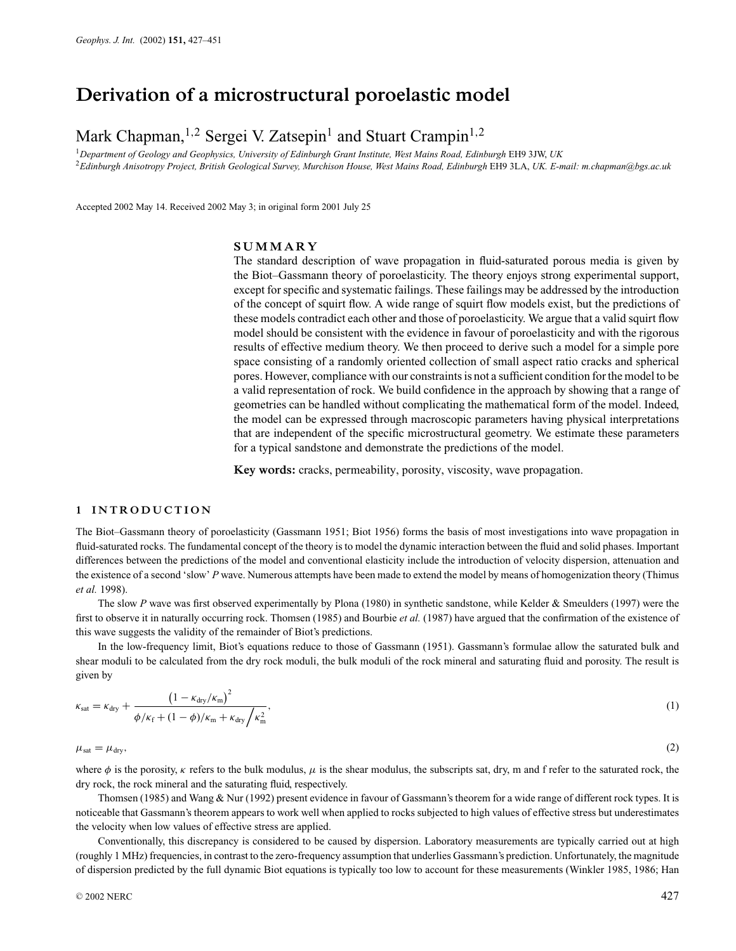# **Derivation of a microstructural poroelastic model**

Mark Chapman,<sup>1,2</sup> Sergei V. Zatsepin<sup>1</sup> and Stuart Crampin<sup>1,2</sup>

<sup>1</sup>*Department of Geology and Geophysics, University of Edinburgh Grant Institute, West Mains Road, Edinburgh* EH9 3JW, *UK* <sup>2</sup>*Edinburgh Anisotropy Project, British Geological Survey, Murchison House, West Mains Road, Edinburgh* EH9 3LA, *UK. E-mail: m.chapman@bgs.ac.uk*

Accepted 2002 May 14. Received 2002 May 3; in original form 2001 July 25

## **SUMMARY**

The standard description of wave propagation in fluid-saturated porous media is given by the Biot–Gassmann theory of poroelasticity. The theory enjoys strong experimental support, except for specific and systematic failings. These failings may be addressed by the introduction of the concept of squirt flow. A wide range of squirt flow models exist, but the predictions of these models contradict each other and those of poroelasticity. We argue that a valid squirt flow model should be consistent with the evidence in favour of poroelasticity and with the rigorous results of effective medium theory. We then proceed to derive such a model for a simple pore space consisting of a randomly oriented collection of small aspect ratio cracks and spherical pores. However, compliance with our constraints is not a sufficient condition for the model to be a valid representation of rock. We build confidence in the approach by showing that a range of geometries can be handled without complicating the mathematical form of the model. Indeed, the model can be expressed through macroscopic parameters having physical interpretations that are independent of the specific microstructural geometry. We estimate these parameters for a typical sandstone and demonstrate the predictions of the model.

**Key words:** cracks, permeability, porosity, viscosity, wave propagation.

## **1 INTRODUCTION**

The Biot–Gassmann theory of poroelasticity (Gassmann 1951; Biot 1956) forms the basis of most investigations into wave propagation in fluid-saturated rocks. The fundamental concept of the theory is to model the dynamic interaction between the fluid and solid phases. Important differences between the predictions of the model and conventional elasticity include the introduction of velocity dispersion, attenuation and the existence of a second 'slow' *P* wave. Numerous attempts have been made to extend the model by means of homogenization theory (Thimus *et al.* 1998).

The slow *P* wave was first observed experimentally by Plona (1980) in synthetic sandstone, while Kelder & Smeulders (1997) were the first to observe it in naturally occurring rock. Thomsen (1985) and Bourbie *et al.* (1987) have argued that the confirmation of the existence of this wave suggests the validity of the remainder of Biot's predictions.

In the low-frequency limit, Biot's equations reduce to those of Gassmann (1951). Gassmann's formulae allow the saturated bulk and shear moduli to be calculated from the dry rock moduli, the bulk moduli of the rock mineral and saturating fluid and porosity. The result is given by

$$
\kappa_{\rm sat} = \kappa_{\rm dry} + \frac{\left(1 - \kappa_{\rm dry}/\kappa_{\rm m}\right)^2}{\phi/\kappa_{\rm f} + \left(1 - \phi\right)/\kappa_{\rm m} + \kappa_{\rm dry}/\kappa_{\rm m}^2},\tag{1}
$$

 $\mu_{\text{sat}} = \mu_{\text{dry}},$  (2)

where  $\phi$  is the porosity,  $\kappa$  refers to the bulk modulus,  $\mu$  is the shear modulus, the subscripts sat, dry, m and f refer to the saturated rock, the dry rock, the rock mineral and the saturating fluid, respectively.

Thomsen (1985) and Wang & Nur (1992) present evidence in favour of Gassmann's theorem for a wide range of different rock types. It is noticeable that Gassmann's theorem appears to work well when applied to rocks subjected to high values of effective stress but underestimates the velocity when low values of effective stress are applied.

Conventionally, this discrepancy is considered to be caused by dispersion. Laboratory measurements are typically carried out at high (roughly 1 MHz) frequencies, in contrast to the zero-frequency assumption that underlies Gassmann's prediction. Unfortunately, the magnitude of dispersion predicted by the full dynamic Biot equations is typically too low to account for these measurements (Winkler 1985, 1986; Han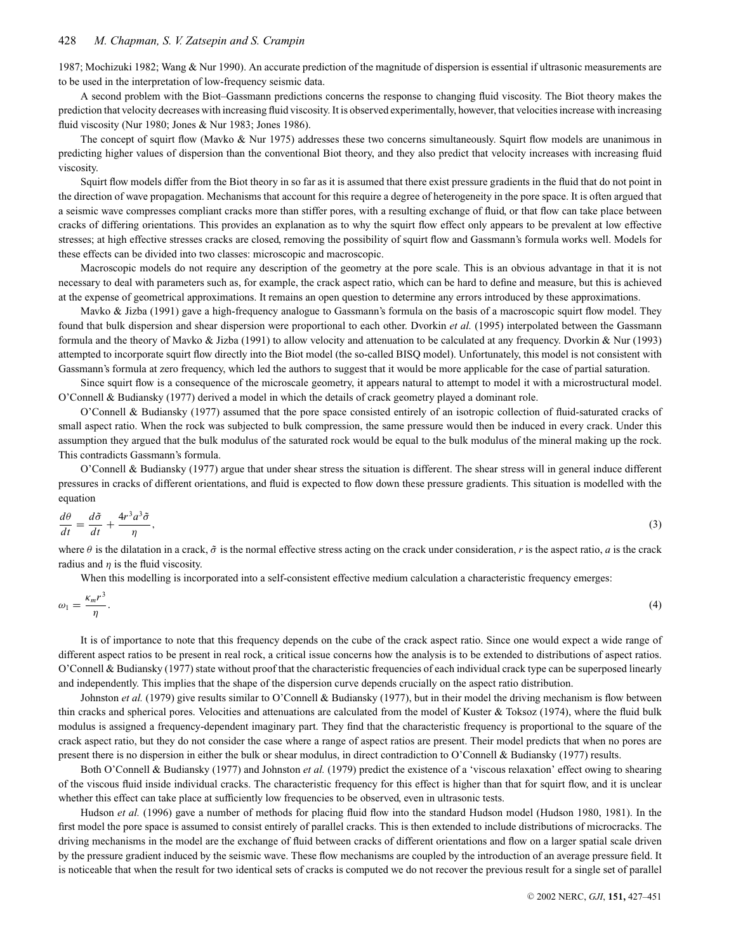1987; Mochizuki 1982; Wang & Nur 1990). An accurate prediction of the magnitude of dispersion is essential if ultrasonic measurements are to be used in the interpretation of low-frequency seismic data.

A second problem with the Biot–Gassmann predictions concerns the response to changing fluid viscosity. The Biot theory makes the prediction that velocity decreases with increasing fluid viscosity. It is observed experimentally, however, that velocities increase with increasing fluid viscosity (Nur 1980; Jones & Nur 1983; Jones 1986).

The concept of squirt flow (Mavko & Nur 1975) addresses these two concerns simultaneously. Squirt flow models are unanimous in predicting higher values of dispersion than the conventional Biot theory, and they also predict that velocity increases with increasing fluid viscosity.

Squirt flow models differ from the Biot theory in so far as it is assumed that there exist pressure gradients in the fluid that do not point in the direction of wave propagation. Mechanisms that account for this require a degree of heterogeneity in the pore space. It is often argued that a seismic wave compresses compliant cracks more than stiffer pores, with a resulting exchange of fluid, or that flow can take place between cracks of differing orientations. This provides an explanation as to why the squirt flow effect only appears to be prevalent at low effective stresses; at high effective stresses cracks are closed, removing the possibility of squirt flow and Gassmann's formula works well. Models for these effects can be divided into two classes: microscopic and macroscopic.

Macroscopic models do not require any description of the geometry at the pore scale. This is an obvious advantage in that it is not necessary to deal with parameters such as, for example, the crack aspect ratio, which can be hard to define and measure, but this is achieved at the expense of geometrical approximations. It remains an open question to determine any errors introduced by these approximations.

Mavko & Jizba (1991) gave a high-frequency analogue to Gassmann's formula on the basis of a macroscopic squirt flow model. They found that bulk dispersion and shear dispersion were proportional to each other. Dvorkin *et al.* (1995) interpolated between the Gassmann formula and the theory of Mavko & Jizba (1991) to allow velocity and attenuation to be calculated at any frequency. Dvorkin & Nur (1993) attempted to incorporate squirt flow directly into the Biot model (the so-called BISQ model). Unfortunately, this model is not consistent with Gassmann's formula at zero frequency, which led the authors to suggest that it would be more applicable for the case of partial saturation.

Since squirt flow is a consequence of the microscale geometry, it appears natural to attempt to model it with a microstructural model. O'Connell & Budiansky (1977) derived a model in which the details of crack geometry played a dominant role.

O'Connell & Budiansky (1977) assumed that the pore space consisted entirely of an isotropic collection of fluid-saturated cracks of small aspect ratio. When the rock was subjected to bulk compression, the same pressure would then be induced in every crack. Under this assumption they argued that the bulk modulus of the saturated rock would be equal to the bulk modulus of the mineral making up the rock. This contradicts Gassmann's formula.

O'Connell & Budiansky (1977) argue that under shear stress the situation is different. The shear stress will in general induce different pressures in cracks of different orientations, and fluid is expected to flow down these pressure gradients. This situation is modelled with the equation

$$
\frac{d\theta}{dt} = \frac{d\tilde{\sigma}}{dt} + \frac{4r^3a^3\tilde{\sigma}}{\eta},\tag{3}
$$

where  $\theta$  is the dilatation in a crack,  $\tilde{\sigma}$  is the normal effective stress acting on the crack under consideration, *r* is the aspect ratio, *a* is the crack radius and  $\eta$  is the fluid viscosity.

When this modelling is incorporated into a self-consistent effective medium calculation a characteristic frequency emerges:

$$
\omega_1 = \frac{\kappa_m r^3}{\eta}.\tag{4}
$$

It is of importance to note that this frequency depends on the cube of the crack aspect ratio. Since one would expect a wide range of different aspect ratios to be present in real rock, a critical issue concerns how the analysis is to be extended to distributions of aspect ratios. O'Connell & Budiansky (1977) state without proof that the characteristic frequencies of each individual crack type can be superposed linearly and independently. This implies that the shape of the dispersion curve depends crucially on the aspect ratio distribution.

Johnston *et al.* (1979) give results similar to O'Connell & Budiansky (1977), but in their model the driving mechanism is flow between thin cracks and spherical pores. Velocities and attenuations are calculated from the model of Kuster & Toksoz (1974), where the fluid bulk modulus is assigned a frequency-dependent imaginary part. They find that the characteristic frequency is proportional to the square of the crack aspect ratio, but they do not consider the case where a range of aspect ratios are present. Their model predicts that when no pores are present there is no dispersion in either the bulk or shear modulus, in direct contradiction to O'Connell & Budiansky (1977) results.

Both O'Connell & Budiansky (1977) and Johnston *et al.* (1979) predict the existence of a 'viscous relaxation' effect owing to shearing of the viscous fluid inside individual cracks. The characteristic frequency for this effect is higher than that for squirt flow, and it is unclear whether this effect can take place at sufficiently low frequencies to be observed, even in ultrasonic tests.

Hudson et al. (1996) gave a number of methods for placing fluid flow into the standard Hudson model (Hudson 1980, 1981). In the first model the pore space is assumed to consist entirely of parallel cracks. This is then extended to include distributions of microcracks. The driving mechanisms in the model are the exchange of fluid between cracks of different orientations and flow on a larger spatial scale driven by the pressure gradient induced by the seismic wave. These flow mechanisms are coupled by the introduction of an average pressure field. It is noticeable that when the result for two identical sets of cracks is computed we do not recover the previous result for a single set of parallel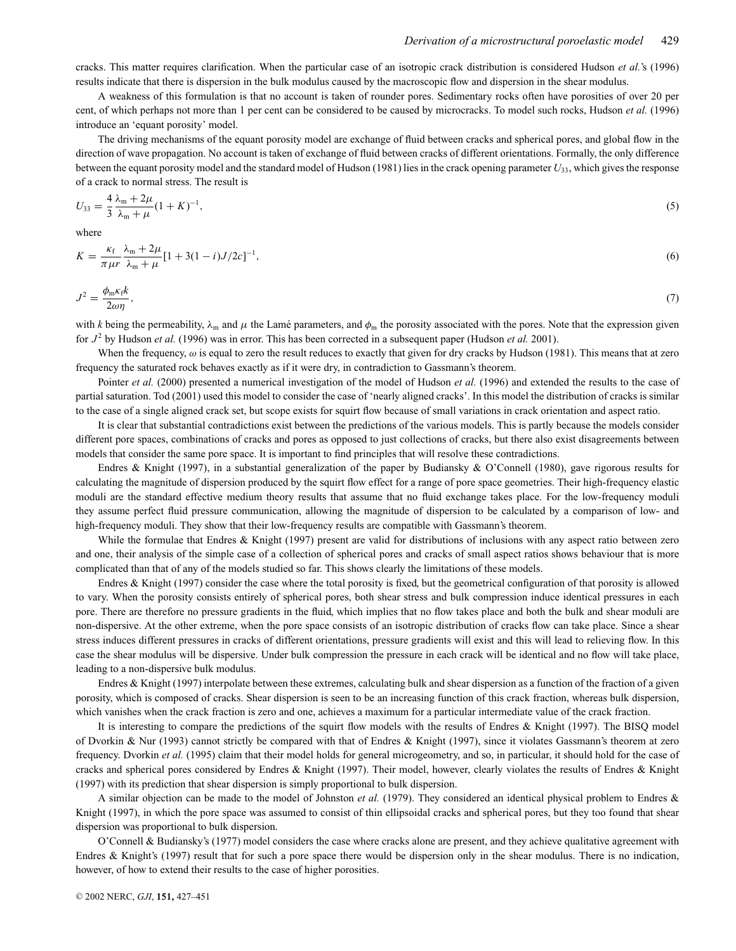cracks. This matter requires clarification. When the particular case of an isotropic crack distribution is considered Hudson *et al.*'s (1996) results indicate that there is dispersion in the bulk modulus caused by the macroscopic flow and dispersion in the shear modulus.

A weakness of this formulation is that no account is taken of rounder pores. Sedimentary rocks often have porosities of over 20 per cent, of which perhaps not more than 1 per cent can be considered to be caused by microcracks. To model such rocks, Hudson *et al.* (1996) introduce an 'equant porosity' model.

The driving mechanisms of the equant porosity model are exchange of fluid between cracks and spherical pores, and global flow in the direction of wave propagation. No account is taken of exchange of fluid between cracks of different orientations. Formally, the only difference between the equant porosity model and the standard model of Hudson (1981) lies in the crack opening parameter *U*33, which gives the response of a crack to normal stress. The result is

$$
U_{33} = \frac{4}{3} \frac{\lambda_{\rm m} + 2\mu}{\lambda_{\rm m} + \mu} (1 + K)^{-1},\tag{5}
$$

where

$$
K = \frac{\kappa_f}{\pi \mu r} \frac{\lambda_m + 2\mu}{\lambda_m + \mu} [1 + 3(1 - i)J/2c]^{-1},\tag{6}
$$

$$
J^2 = \frac{\phi_{\rm m} \kappa_{\rm f} k}{2\omega \eta},\tag{7}
$$

with *k* being the permeability,  $\lambda_m$  and  $\mu$  the Lamé parameters, and  $\phi_m$  the porosity associated with the pores. Note that the expression given for *J* <sup>2</sup> by Hudson *et al.* (1996) was in error. This has been corrected in a subsequent paper (Hudson *et al.* 2001).

When the frequency,  $\omega$  is equal to zero the result reduces to exactly that given for dry cracks by Hudson (1981). This means that at zero frequency the saturated rock behaves exactly as if it were dry, in contradiction to Gassmann's theorem.

Pointer *et al.* (2000) presented a numerical investigation of the model of Hudson *et al.* (1996) and extended the results to the case of partial saturation. Tod (2001) used this model to consider the case of 'nearly aligned cracks'. In this model the distribution of cracks is similar to the case of a single aligned crack set, but scope exists for squirt flow because of small variations in crack orientation and aspect ratio.

It is clear that substantial contradictions exist between the predictions of the various models. This is partly because the models consider different pore spaces, combinations of cracks and pores as opposed to just collections of cracks, but there also exist disagreements between models that consider the same pore space. It is important to find principles that will resolve these contradictions.

Endres & Knight (1997), in a substantial generalization of the paper by Budiansky & O'Connell (1980), gave rigorous results for calculating the magnitude of dispersion produced by the squirt flow effect for a range of pore space geometries. Their high-frequency elastic moduli are the standard effective medium theory results that assume that no fluid exchange takes place. For the low-frequency moduli they assume perfect fluid pressure communication, allowing the magnitude of dispersion to be calculated by a comparison of low- and high-frequency moduli. They show that their low-frequency results are compatible with Gassmann's theorem.

While the formulae that Endres & Knight (1997) present are valid for distributions of inclusions with any aspect ratio between zero and one, their analysis of the simple case of a collection of spherical pores and cracks of small aspect ratios shows behaviour that is more complicated than that of any of the models studied so far. This shows clearly the limitations of these models.

Endres & Knight (1997) consider the case where the total porosity is fixed, but the geometrical configuration of that porosity is allowed to vary. When the porosity consists entirely of spherical pores, both shear stress and bulk compression induce identical pressures in each pore. There are therefore no pressure gradients in the fluid, which implies that no flow takes place and both the bulk and shear moduli are non-dispersive. At the other extreme, when the pore space consists of an isotropic distribution of cracks flow can take place. Since a shear stress induces different pressures in cracks of different orientations, pressure gradients will exist and this will lead to relieving flow. In this case the shear modulus will be dispersive. Under bulk compression the pressure in each crack will be identical and no flow will take place, leading to a non-dispersive bulk modulus.

Endres & Knight (1997) interpolate between these extremes, calculating bulk and shear dispersion as a function of the fraction of a given porosity, which is composed of cracks. Shear dispersion is seen to be an increasing function of this crack fraction, whereas bulk dispersion, which vanishes when the crack fraction is zero and one, achieves a maximum for a particular intermediate value of the crack fraction.

It is interesting to compare the predictions of the squirt flow models with the results of Endres & Knight (1997). The BISQ model of Dvorkin & Nur (1993) cannot strictly be compared with that of Endres & Knight (1997), since it violates Gassmann's theorem at zero frequency. Dvorkin *et al.* (1995) claim that their model holds for general microgeometry, and so, in particular, it should hold for the case of cracks and spherical pores considered by Endres & Knight (1997). Their model, however, clearly violates the results of Endres & Knight (1997) with its prediction that shear dispersion is simply proportional to bulk dispersion.

A similar objection can be made to the model of Johnston *et al.* (1979). They considered an identical physical problem to Endres & Knight (1997), in which the pore space was assumed to consist of thin ellipsoidal cracks and spherical pores, but they too found that shear dispersion was proportional to bulk dispersion.

O'Connell & Budiansky's (1977) model considers the case where cracks alone are present, and they achieve qualitative agreement with Endres & Knight's (1997) result that for such a pore space there would be dispersion only in the shear modulus. There is no indication, however, of how to extend their results to the case of higher porosities.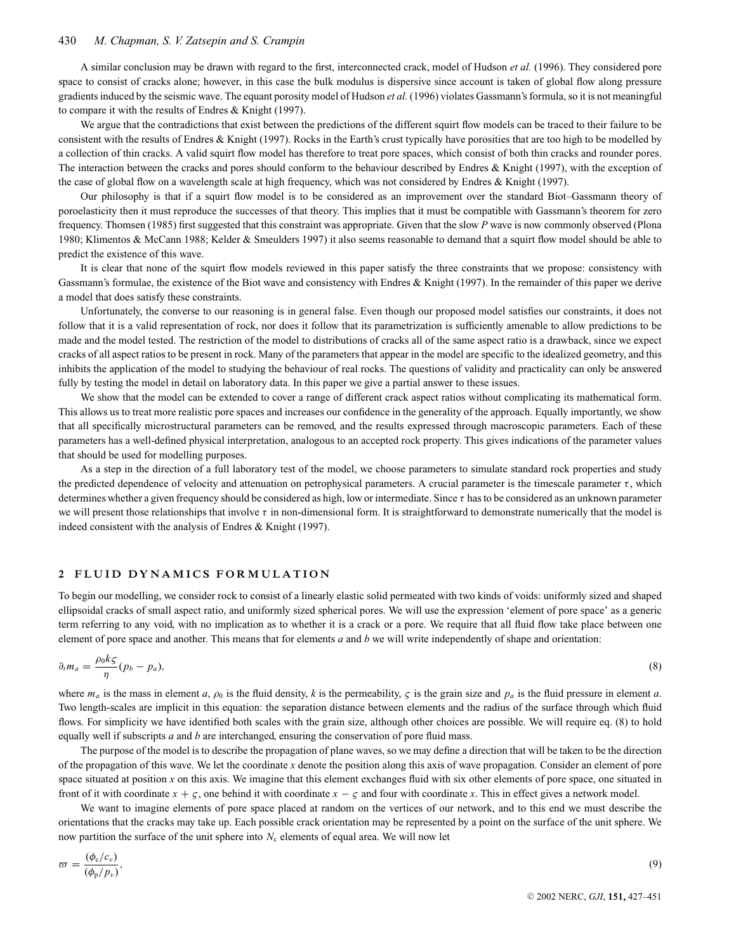## 430 *M. Chapman, S. V. Zatsepin and S. Crampin*

A similar conclusion may be drawn with regard to the first, interconnected crack, model of Hudson *et al.* (1996). They considered pore space to consist of cracks alone; however, in this case the bulk modulus is dispersive since account is taken of global flow along pressure gradients induced by the seismic wave. The equant porosity model of Hudson *et al.* (1996) violates Gassmann's formula, so it is not meaningful to compare it with the results of Endres & Knight (1997).

We argue that the contradictions that exist between the predictions of the different squirt flow models can be traced to their failure to be consistent with the results of Endres & Knight (1997). Rocks in the Earth's crust typically have porosities that are too high to be modelled by a collection of thin cracks. A valid squirt flow model has therefore to treat pore spaces, which consist of both thin cracks and rounder pores. The interaction between the cracks and pores should conform to the behaviour described by Endres & Knight (1997), with the exception of the case of global flow on a wavelength scale at high frequency, which was not considered by Endres & Knight (1997).

Our philosophy is that if a squirt flow model is to be considered as an improvement over the standard Biot–Gassmann theory of poroelasticity then it must reproduce the successes of that theory. This implies that it must be compatible with Gassmann's theorem for zero frequency. Thomsen (1985) first suggested that this constraint was appropriate. Given that the slow *P* wave is now commonly observed (Plona 1980; Klimentos & McCann 1988; Kelder & Smeulders 1997) it also seems reasonable to demand that a squirt flow model should be able to predict the existence of this wave.

It is clear that none of the squirt flow models reviewed in this paper satisfy the three constraints that we propose: consistency with Gassmann's formulae, the existence of the Biot wave and consistency with Endres & Knight (1997). In the remainder of this paper we derive a model that does satisfy these constraints.

Unfortunately, the converse to our reasoning is in general false. Even though our proposed model satisfies our constraints, it does not follow that it is a valid representation of rock, nor does it follow that its parametrization is sufficiently amenable to allow predictions to be made and the model tested. The restriction of the model to distributions of cracks all of the same aspect ratio is a drawback, since we expect cracks of all aspect ratios to be present in rock. Many of the parameters that appear in the model are specific to the idealized geometry, and this inhibits the application of the model to studying the behaviour of real rocks. The questions of validity and practicality can only be answered fully by testing the model in detail on laboratory data. In this paper we give a partial answer to these issues.

We show that the model can be extended to cover a range of different crack aspect ratios without complicating its mathematical form. This allows us to treat more realistic pore spaces and increases our confidence in the generality of the approach. Equally importantly, we show that all specifically microstructural parameters can be removed, and the results expressed through macroscopic parameters. Each of these parameters has a well-defined physical interpretation, analogous to an accepted rock property. This gives indications of the parameter values that should be used for modelling purposes.

As a step in the direction of a full laboratory test of the model, we choose parameters to simulate standard rock properties and study the predicted dependence of velocity and attenuation on petrophysical parameters. A crucial parameter is the timescale parameter  $\tau$ , which determines whether a given frequency should be considered as high, low or intermediate. Since  $\tau$  has to be considered as an unknown parameter we will present those relationships that involve  $\tau$  in non-dimensional form. It is straightforward to demonstrate numerically that the model is indeed consistent with the analysis of Endres & Knight (1997).

## **2 FLUID DYNAMICS FORMULATION**

To begin our modelling, we consider rock to consist of a linearly elastic solid permeated with two kinds of voids: uniformly sized and shaped ellipsoidal cracks of small aspect ratio, and uniformly sized spherical pores. We will use the expression 'element of pore space' as a generic term referring to any void, with no implication as to whether it is a crack or a pore. We require that all fluid flow take place between one element of pore space and another. This means that for elements *a* and *b* we will write independently of shape and orientation:

$$
\partial_t m_a = \frac{\rho_0 k \zeta}{\eta} (p_b - p_a),\tag{8}
$$

where  $m_a$  is the mass in element *a*,  $\rho_0$  is the fluid density, *k* is the permeability, *ç* is the grain size and  $p_a$  is the fluid pressure in element *a*. Two length-scales are implicit in this equation: the separation distance between elements and the radius of the surface through which fluid flows. For simplicity we have identified both scales with the grain size, although other choices are possible. We will require eq. (8) to hold equally well if subscripts *a* and *b* are interchanged, ensuring the conservation of pore fluid mass.

The purpose of the model is to describe the propagation of plane waves, so we may define a direction that will be taken to be the direction of the propagation of this wave. We let the coordinate *x* denote the position along this axis of wave propagation. Consider an element of pore space situated at position  $x$  on this axis. We imagine that this element exchanges fluid with six other elements of pore space, one situated in front of it with coordinate  $x + \varsigma$ , one behind it with coordinate  $x - \varsigma$  and four with coordinate x. This in effect gives a network model.

We want to imagine elements of pore space placed at random on the vertices of our network, and to this end we must describe the orientations that the cracks may take up. Each possible crack orientation may be represented by a point on the surface of the unit sphere. We now partition the surface of the unit sphere into  $N_c$  elements of equal area. We will now let

$$
\varpi = \frac{(\phi_c/c_v)}{(\phi_p/p_v)},\tag{9}
$$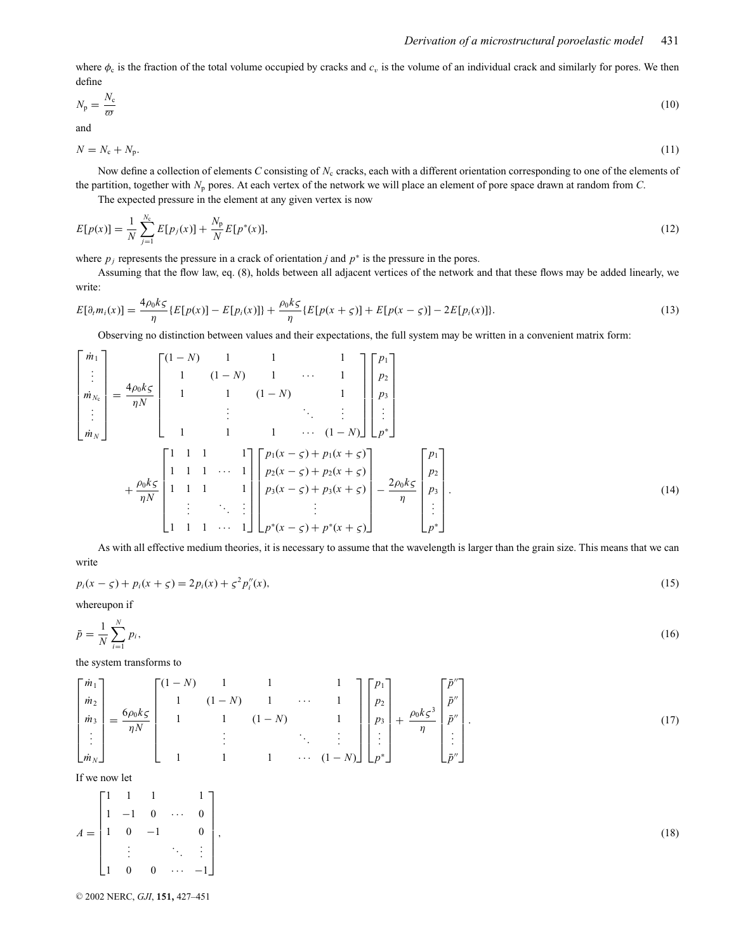where  $\phi_c$  is the fraction of the total volume occupied by cracks and  $c_v$  is the volume of an individual crack and similarly for pores. We then define

$$
N_{\rm p} = \frac{N_{\rm c}}{\varpi} \tag{10}
$$

and

 $N = N_c + N_p.$  (11)

Now define a collection of elements *C* consisting of  $N_c$  cracks, each with a different orientation corresponding to one of the elements of the partition, together with *N*<sup>p</sup> pores. At each vertex of the network we will place an element of pore space drawn at random from *C*.

The expected pressure in the element at any given vertex is now

$$
E[p(x)] = \frac{1}{N} \sum_{j=1}^{N_c} E[p_j(x)] + \frac{N_p}{N} E[p^*(x)],
$$
\n(12)

where  $p_j$  represents the pressure in a crack of orientation *j* and  $p^*$  is the pressure in the pores.

Assuming that the flow law, eq. (8), holds between all adjacent vertices of the network and that these flows may be added linearly, we write:

$$
E[\partial_t m_i(x)] = \frac{4\rho_0 k \zeta}{\eta} \{ E[p(x)] - E[p_i(x)] \} + \frac{\rho_0 k \zeta}{\eta} \{ E[p(x + \zeta)] + E[p(x - \zeta)] - 2E[p_i(x)] \}.
$$
\n(13)

Observing no distinction between values and their expectations, the full system may be written in a convenient matrix form:

$$
\begin{bmatrix}\n\dot{m}_1 \\
\vdots \\
\dot{m}_{N_c} \\
\vdots \\
\dot{m}_N\n\end{bmatrix} = \frac{4\rho_0 k_S}{\eta N} \begin{bmatrix}\n(1-N) & 1 & 1 & 1 & 1 \\
1 & (1-N) & 1 & \cdots & 1 \\
1 & 1 & (1-N) & 1 & 1 \\
\vdots & \vdots & \ddots & \vdots & \vdots \\
1 & 1 & 1 & \cdots & (1-N)\n\end{bmatrix} \begin{bmatrix}\np_1 \\
p_2 \\
p_3 \\
\vdots \\
p^*\n\end{bmatrix}
$$
\n
$$
+ \frac{\rho_0 k_S}{\eta N} \begin{bmatrix}\n1 & 1 & 1 & 1 \\
1 & 1 & 1 & \cdots & 1 \\
1 & 1 & 1 & \cdots & 1 \\
1 & 1 & 1 & 1 & 1 \\
\vdots & \ddots & \vdots & \vdots \\
1 & 1 & 1 & \cdots & 1\n\end{bmatrix} \begin{bmatrix}\np_1(x-S) + p_1(x+S) \\
p_2(x-S) + p_2(x+S) \\
p_3(x-S) + p_3(x+S) \\
\vdots \\
p^*(x-S) + p^*(x+S)\n\end{bmatrix} - \frac{2\rho_0 k_S}{\eta} \begin{bmatrix}\np_1 \\
p_2 \\
p_3 \\
\vdots \\
p^*\n\end{bmatrix}.
$$
\n(14)

As with all effective medium theories, it is necessary to assume that the wavelength is larger than the grain size. This means that we can write

$$
p_i(x - \zeta) + p_i(x + \zeta) = 2p_i(x) + \zeta^2 p_i''(x),\tag{15}
$$

whereupon if

$$
\bar{p} = \frac{1}{N} \sum_{i=1}^{N} p_i,
$$
\n(16)

the system transforms to

$$
\begin{bmatrix} \dot{m}_1 \\ \dot{m}_2 \\ \dot{m}_3 \\ \vdots \\ \dot{m}_N \end{bmatrix} = \frac{6\rho_0 k \zeta}{\eta N} \begin{bmatrix} (1-N) & 1 & 1 & 1 & 1 \\ 1 & (1-N) & 1 & \cdots & 1 \\ 1 & 1 & (1-N) & 1 & 1 \\ \vdots & \vdots & \ddots & \vdots \\ 1 & 1 & 1 & \cdots & (1-N) \end{bmatrix} \begin{bmatrix} p_1 \\ p_2 \\ p_3 \\ \vdots \\ p^* \end{bmatrix} + \frac{\rho_0 k \zeta^3}{\eta} \begin{bmatrix} \bar{p}'' \\ \bar{p}'' \\ \bar{p}'' \\ \vdots \\ \bar{p}'' \end{bmatrix} . \tag{17}
$$

If we now let

$$
A = \begin{bmatrix} 1 & 1 & 1 & 1 \\ 1 & -1 & 0 & \cdots & 0 \\ 1 & 0 & -1 & 0 \\ \vdots & \ddots & \vdots \\ 1 & 0 & 0 & \cdots & -1 \end{bmatrix},
$$
 (18)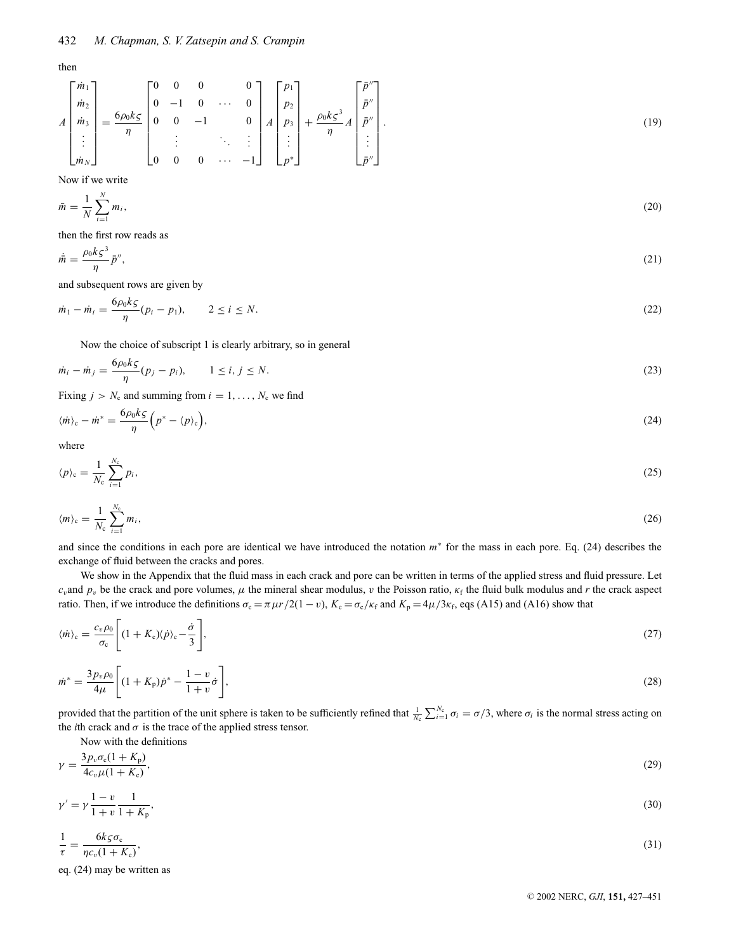then

$$
A\begin{bmatrix} \dot{m}_1 \\ \dot{m}_2 \\ \dot{m}_3 \\ \vdots \\ \dot{m}_N \end{bmatrix} = \frac{6\rho_0 k_S}{\eta} \begin{bmatrix} 0 & 0 & 0 & 0 \\ 0 & -1 & 0 & \cdots & 0 \\ 0 & 0 & -1 & 0 \\ \vdots & \vdots & \ddots & \vdots \\ 0 & 0 & 0 & \cdots & -1 \end{bmatrix} A \begin{bmatrix} p_1 \\ p_2 \\ p_3 \\ \vdots \\ p^* \end{bmatrix} + \frac{\rho_0 k_S^3}{\eta} A \begin{bmatrix} \bar{p}'' \\ \bar{p}'' \\ \bar{p}'' \\ \vdots \\ \bar{p}'' \end{bmatrix} . \tag{19}
$$

Now if we write

$$
\bar{m} = \frac{1}{N} \sum_{i=1}^{N} m_i,\tag{20}
$$

then the first row reads as

 $\dot{\bar{m}} = \frac{\rho_0 k \varsigma^3}{\eta} \bar{p}''$ ,  $(21)$ 

and subsequent rows are given by

$$
\dot{m}_1 - \dot{m}_i = \frac{6\rho_0 k \zeta}{\eta} (p_i - p_1), \qquad 2 \le i \le N. \tag{22}
$$

Now the choice of subscript 1 is clearly arbitrary, so in general

$$
\dot{m}_i - \dot{m}_j = \frac{6\rho_0 k \zeta}{\eta} (p_j - p_i), \qquad 1 \le i, j \le N. \tag{23}
$$

Fixing  $j > N_c$  and summing from  $i = 1, ..., N_c$  we find

$$
\langle \dot{m} \rangle_{\rm c} - \dot{m}^* = \frac{6\rho_0 k \zeta}{\eta} \left( p^* - \langle p \rangle_{\rm c} \right),\tag{24}
$$

where

$$
\langle p \rangle_{\rm c} = \frac{1}{N_{\rm c}} \sum_{i=1}^{N_{\rm c}} p_i,\tag{25}
$$

$$
\langle m \rangle_{\rm c} = \frac{1}{N_{\rm c}} \sum_{i=1}^{N_{\rm c}} m_i,\tag{26}
$$

and since the conditions in each pore are identical we have introduced the notation *m*<sup>∗</sup> for the mass in each pore. Eq. (24) describes the exchange of fluid between the cracks and pores.

We show in the Appendix that the fluid mass in each crack and pore can be written in terms of the applied stress and fluid pressure. Let *c*<sub>v</sub> and  $p_v$  be the crack and pore volumes,  $\mu$  the mineral shear modulus, v the Poisson ratio,  $\kappa_f$  the fluid bulk modulus and *r* the crack aspect ratio. Then, if we introduce the definitions  $\sigma_c = \pi \mu r/2(1 - v)$ ,  $K_c = \sigma_c/\kappa_f$  and  $K_p = 4\mu/3\kappa_f$ , eqs (A15) and (A16) show that

$$
\langle \dot{m} \rangle_{\rm c} = \frac{c_v \rho_0}{\sigma_{\rm c}} \left[ (1 + K_{\rm c}) \langle \dot{p} \rangle_{\rm c} - \frac{\dot{\sigma}}{3} \right],\tag{27}
$$

$$
\dot{m}^* = \frac{3p_v \rho_0}{4\mu} \left[ (1 + K_p)\dot{p}^* - \frac{1 - v}{1 + v}\dot{\sigma} \right],\tag{28}
$$

provided that the partition of the unit sphere is taken to be sufficiently refined that  $\frac{1}{N_c} \sum_{i=1}^{N_c} \sigma_i = \sigma/3$ , where  $\sigma_i$  is the normal stress acting on the *i*th crack and  $\sigma$  is the trace of the applied stress tensor.

Now with the definitions

$$
\gamma = \frac{3p_v \sigma_c (1 + K_p)}{4c_v \mu (1 + K_c)},\tag{29}
$$

$$
\gamma' = \gamma \frac{1 - v}{1 + v} \frac{1}{1 + K_p},\tag{30}
$$

$$
\frac{1}{\tau} = \frac{6k\zeta\sigma_c}{\eta c_v (1 + K_c)},\tag{31}
$$

eq. (24) may be written as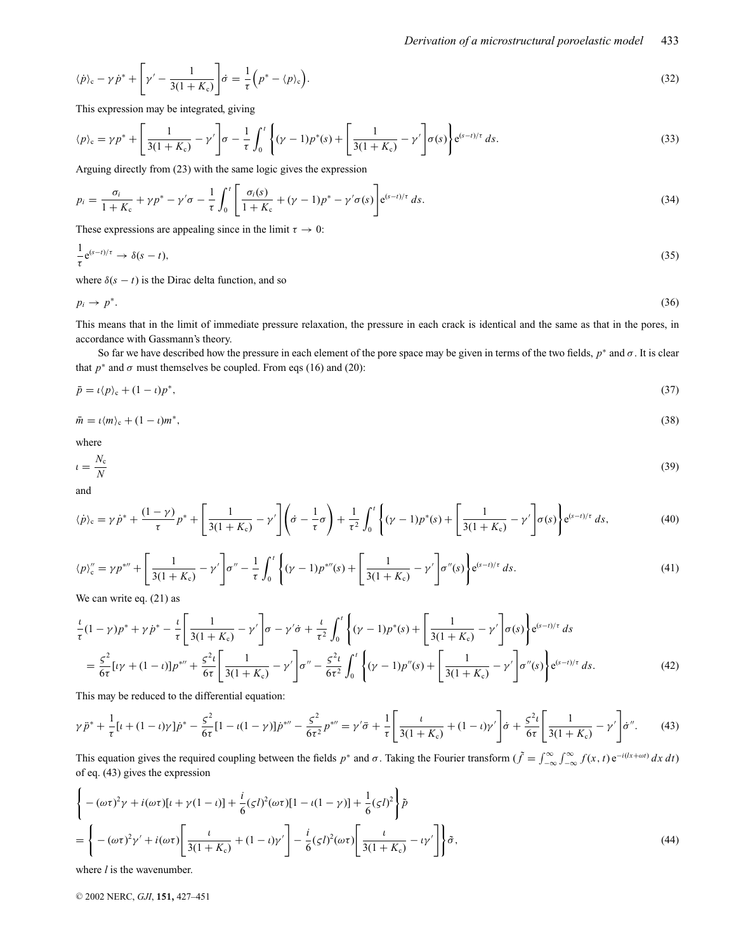$$
\langle \dot{p} \rangle_{\rm c} - \gamma \dot{p}^* + \left[ \gamma' - \frac{1}{3(1 + K_{\rm c})} \right] \dot{\sigma} = \frac{1}{\tau} \left( p^* - \langle p \rangle_{\rm c} \right). \tag{32}
$$

This expression may be integrated, giving

$$
\langle p \rangle_{\rm c} = \gamma p^* + \left[ \frac{1}{3(1+K_{\rm c})} - \gamma' \right] \sigma - \frac{1}{\tau} \int_0^t \left\{ (\gamma - 1) p^*(s) + \left[ \frac{1}{3(1+K_{\rm c})} - \gamma' \right] \sigma(s) \right\} e^{(s-t)/\tau} ds. \tag{33}
$$

Arguing directly from (23) with the same logic gives the expression

$$
p_i = \frac{\sigma_i}{1 + K_c} + \gamma p^* - \gamma' \sigma - \frac{1}{\tau} \int_0^t \left[ \frac{\sigma_i(s)}{1 + K_c} + (\gamma - 1)p^* - \gamma' \sigma(s) \right] e^{(s-t)/\tau} ds.
$$
 (34)

These expressions are appealing since in the limit  $\tau \to 0$ :

$$
\frac{1}{\tau}e^{(s-t)/\tau} \to \delta(s-t),\tag{35}
$$

where  $\delta(s - t)$  is the Dirac delta function, and so

$$
p_i \to p^*.\tag{36}
$$

This means that in the limit of immediate pressure relaxation, the pressure in each crack is identical and the same as that in the pores, in accordance with Gassmann's theory.

So far we have described how the pressure in each element of the pore space may be given in terms of the two fields, *p*<sup>∗</sup> and σ. It is clear that  $p^*$  and  $\sigma$  must themselves be coupled. From eqs (16) and (20):

$$
\bar{p} = \iota \langle p \rangle_c + (1 - \iota) p^*,\tag{37}
$$

$$
\bar{m} = \iota \langle m \rangle_c + (1 - \iota) m^*,\tag{38}
$$

where

$$
t = \frac{N_c}{N} \tag{39}
$$

and

$$
\langle \dot{p} \rangle_{\rm c} = \gamma \dot{p}^* + \frac{(1 - \gamma)}{\tau} p^* + \left[ \frac{1}{3(1 + K_{\rm c})} - \gamma' \right] \left( \dot{\sigma} - \frac{1}{\tau} \sigma \right) + \frac{1}{\tau^2} \int_0^t \left\{ (\gamma - 1) p^*(s) + \left[ \frac{1}{3(1 + K_{\rm c})} - \gamma' \right] \sigma(s) \right\} e^{(s - t)/\tau} ds, \tag{40}
$$

$$
\langle p \rangle_{c}'' = \gamma p^{*} + \left[ \frac{1}{3(1+K_{c})} - \gamma' \right] \sigma'' - \frac{1}{\tau} \int_{0}^{t} \left\{ (\gamma - 1) p^{*} (s) + \left[ \frac{1}{3(1+K_{c})} - \gamma' \right] \sigma''(s) \right\} e^{(s-t)/\tau} ds.
$$
\n(41)

We can write eq. (21) as

$$
\frac{t}{\tau}(1-\gamma)p^* + \gamma p^* - \frac{t}{\tau} \left[ \frac{1}{3(1+K_c)} - \gamma' \right] \sigma - \gamma' \dot{\sigma} + \frac{t}{\tau^2} \int_0^t \left\{ (\gamma - 1)p^*(s) + \left[ \frac{1}{3(1+K_c)} - \gamma' \right] \sigma(s) \right\} e^{(s-t)/\tau} ds
$$
\n
$$
= \frac{S^2}{6\tau} [\nu + (1-\nu)] p^{*\nu} + \frac{S^2 t}{6\tau} \left[ \frac{1}{3(1+K_c)} - \gamma' \right] \sigma'' - \frac{S^2 t}{6\tau^2} \int_0^t \left\{ (\gamma - 1)p''(s) + \left[ \frac{1}{3(1+K_c)} - \gamma' \right] \sigma''(s) \right\} e^{(s-t)/\tau} ds. \tag{42}
$$

This may be reduced to the differential equation:

$$
\gamma \ddot{p}^* + \frac{1}{\tau} [\iota + (1 - \iota)\gamma] \dot{p}^* - \frac{S^2}{6\tau} [1 - \iota(1 - \gamma)] \dot{p}^{*\prime\prime} - \frac{S^2}{6\tau^2} p^{*\prime\prime} = \gamma' \ddot{\sigma} + \frac{1}{\tau} \left[ \frac{\iota}{3(1 + K_c)} + (1 - \iota)\gamma' \right] \dot{\sigma} + \frac{S^2 \iota}{6\tau} \left[ \frac{1}{3(1 + K_c)} - \gamma' \right] \dot{\sigma}''.
$$
 (43)

This equation gives the required coupling between the fields  $p^*$  and  $\sigma$ . Taking the Fourier transform  $(\tilde{f} = \int_{-\infty}^{\infty} \int_{-\infty}^{\infty} f(x, t) e^{-i(lx + \omega t)} dx dt$ of eq. (43) gives the expression

$$
\begin{aligned}\n&\left\{-\left(\omega\tau\right)^2\gamma+i(\omega\tau)[\iota+\gamma(1-\iota)]+\frac{i}{6}(\varsigma l)^2(\omega\tau)[1-\iota(1-\gamma)]+\frac{1}{6}(\varsigma l)^2\right\}\tilde{p} \\
&=\left\{-\left(\omega\tau\right)^2\gamma'+i(\omega\tau)\left[\frac{\iota}{3(1+K_c)}+(1-\iota)\gamma'\right]-\frac{i}{6}(\varsigma l)^2(\omega\tau)\left[\frac{\iota}{3(1+K_c)}-\iota\gamma'\right]\right\}\tilde{\sigma},\n\end{aligned} \tag{44}
$$

where *l* is the wavenumber.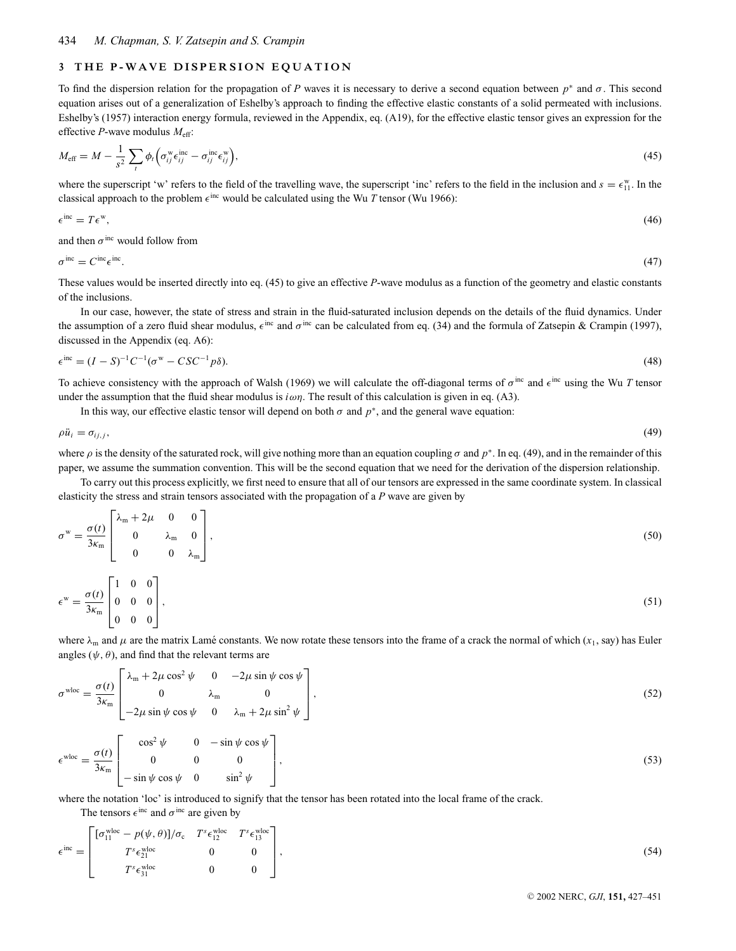## **3 THE P-WAVE DISPERSION EQUATION**

To find the dispersion relation for the propagation of *P* waves it is necessary to derive a second equation between *p*<sup>∗</sup> and σ. This second equation arises out of a generalization of Eshelby's approach to finding the effective elastic constants of a solid permeated with inclusions. Eshelby's (1957) interaction energy formula, reviewed in the Appendix, eq. (A19), for the effective elastic tensor gives an expression for the effective *P*-wave modulus  $M_{\text{eff}}$ :

$$
M_{\text{eff}} = M - \frac{1}{s^2} \sum_{t} \phi_t \left( \sigma_{ij}^{\text{w}} \epsilon_{ij}^{\text{inc}} - \sigma_{ij}^{\text{inc}} \epsilon_{ij}^{\text{w}} \right),\tag{45}
$$

where the superscript 'w' refers to the field of the travelling wave, the superscript 'inc' refers to the field in the inclusion and  $s = \epsilon_{11}^w$ . In the classical approach to the problem  $\epsilon^{inc}$  would be calculated using the Wu *T* tensor (Wu 1966):

$$
\epsilon^{\rm inc} = T\epsilon^{\rm w},\tag{46}
$$

and then  $\sigma^{\text{inc}}$  would follow from

$$
\sigma^{\rm inc} = C^{\rm inc} \epsilon^{\rm inc} \tag{47}
$$

These values would be inserted directly into eq. (45) to give an effective *P*-wave modulus as a function of the geometry and elastic constants of the inclusions.

In our case, however, the state of stress and strain in the fluid-saturated inclusion depends on the details of the fluid dynamics. Under the assumption of a zero fluid shear modulus,  $\epsilon^{inc}$  and  $\sigma^{inc}$  can be calculated from eq. (34) and the formula of Zatsepin & Crampin (1997), discussed in the Appendix (eq. A6):

$$
\epsilon^{\rm inc} = (I - S)^{-1} C^{-1} (\sigma^{\rm w} - C S C^{-1} p \delta). \tag{48}
$$

To achieve consistency with the approach of Walsh (1969) we will calculate the off-diagonal terms of  $\sigma$ <sup>inc</sup> and  $\epsilon$ <sup>inc</sup> using the Wu *T* tensor under the assumption that the fluid shear modulus is  $i\omega\eta$ . The result of this calculation is given in eq. (A3).

In this way, our effective elastic tensor will depend on both  $\sigma$  and  $p^*$ , and the general wave equation:

$$
\rho \ddot{u}_i = \sigma_{ij,j},\tag{49}
$$

where  $\rho$  is the density of the saturated rock, will give nothing more than an equation coupling  $\sigma$  and  $p^*$ . In eq. (49), and in the remainder of this paper, we assume the summation convention. This will be the second equation that we need for the derivation of the dispersion relationship.

To carry out this process explicitly, we first need to ensure that all of our tensors are expressed in the same coordinate system. In classical elasticity the stress and strain tensors associated with the propagation of a *P* wave are given by

$$
\sigma^{\mathbf{w}} = \frac{\sigma(t)}{3\kappa_{\mathbf{m}}} \begin{bmatrix} \lambda_{\mathbf{m}} + 2\mu & 0 & 0 \\ 0 & \lambda_{\mathbf{m}} & 0 \\ 0 & 0 & \lambda_{\mathbf{m}} \end{bmatrix},
$$
\n
$$
\epsilon^{\mathbf{w}} = \frac{\sigma(t)}{3\kappa_{\mathbf{m}}} \begin{bmatrix} 1 & 0 & 0 \\ 0 & 0 & 0 \\ 0 & 0 & 0 \end{bmatrix},
$$
\n(51)

where  $\lambda_m$  and  $\mu$  are the matrix Lamé constants. We now rotate these tensors into the frame of a crack the normal of which ( $x_1$ , say) has Euler angles ( $\psi$ ,  $\theta$ ), and find that the relevant terms are

$$
\sigma^{\text{wloc}} = \frac{\sigma(t)}{3\kappa_{\text{m}}} \begin{bmatrix} \lambda_{\text{m}} + 2\mu \cos^{2} \psi & 0 & -2\mu \sin \psi \cos \psi \\ 0 & \lambda_{\text{m}} & 0 \\ -2\mu \sin \psi \cos \psi & 0 & \lambda_{\text{m}} + 2\mu \sin^{2} \psi \end{bmatrix},
$$
\n
$$
\epsilon^{\text{wloc}} = \frac{\sigma(t)}{3\kappa_{\text{m}}} \begin{bmatrix} \cos^{2} \psi & 0 & -\sin \psi \cos \psi \\ 0 & 0 & 0 \\ 0 & 0 & 0 \end{bmatrix},
$$
\n(53)

where the notation 'loc' is introduced to signify that the tensor has been rotated into the local frame of the crack.

 $\overline{\phantom{a}}$ 

The tensors  $\epsilon^{\text{inc}}$  and  $\sigma^{\text{inc}}$  are given by

 $-\sin \psi \cos \psi$  0  $\sin^2 \psi$ 

$$
\epsilon^{\text{inc}} = \begin{bmatrix} [\sigma_1^{\text{wloc}} - p(\psi, \theta)] / \sigma_c & T^s \epsilon_1^{\text{wloc}} & T^s \epsilon_1^{\text{wloc}} \\ T^s \epsilon_2^{\text{wloc}} & 0 & 0 \\ T^s \epsilon_3^{\text{wloc}} & 0 & 0 \end{bmatrix},
$$
\n(54)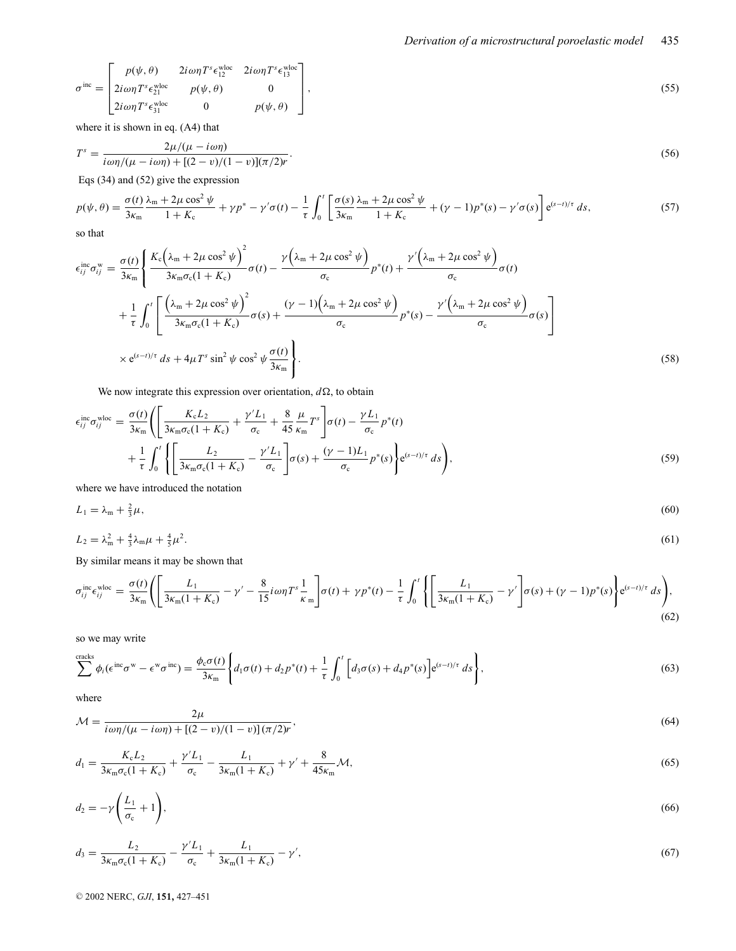$$
\sigma^{\text{inc}} = \begin{bmatrix} p(\psi, \theta) & 2i\omega\eta T^s \epsilon_{12}^{\text{uloc}} & 2i\omega\eta T^s \epsilon_{13}^{\text{uloc}} \\ 2i\omega\eta T^s \epsilon_{21}^{\text{uloc}} & p(\psi, \theta) & 0 \\ 2i\omega\eta T^s \epsilon_{31}^{\text{uloc}} & 0 & p(\psi, \theta) \end{bmatrix},
$$
\n(55)

where it is shown in eq. (A4) that

$$
T^{s} = \frac{2\mu/(\mu - i\omega\eta)}{i\omega\eta/(\mu - i\omega\eta) + [(2 - v)/(1 - v)](\pi/2)r}.
$$
\n(56)

Eqs (34) and (52) give the expression

$$
p(\psi,\theta) = \frac{\sigma(t)}{3\kappa_m} \frac{\lambda_m + 2\mu \cos^2 \psi}{1 + K_c} + \gamma p^* - \gamma' \sigma(t) - \frac{1}{\tau} \int_0^t \left[ \frac{\sigma(s)}{3\kappa_m} \frac{\lambda_m + 2\mu \cos^2 \psi}{1 + K_c} + (\gamma - 1)p^*(s) - \gamma' \sigma(s) \right] e^{(s-t)/\tau} ds,
$$
\n
$$
(57)
$$

so that

$$
\epsilon_{ij}^{\text{inc}}\sigma_{ij}^{\text{w}} = \frac{\sigma(t)}{3\kappa_{\text{m}}} \Bigg\{ \frac{K_{\text{c}}\Big(\lambda_{\text{m}} + 2\mu\cos^{2}\psi\Big)^{2}}{3\kappa_{\text{m}}\sigma_{\text{c}}(1 + K_{\text{c}})}\sigma(t) - \frac{\gamma\Big(\lambda_{\text{m}} + 2\mu\cos^{2}\psi\Big)}{\sigma_{\text{c}}}p^{*}(t) + \frac{\gamma'\Big(\lambda_{\text{m}} + 2\mu\cos^{2}\psi\Big)}{\sigma_{\text{c}}}\sigma(t) + \frac{1}{\tau} \int_{0}^{t} \Bigg[ \frac{\Big(\lambda_{\text{m}} + 2\mu\cos^{2}\psi\Big)^{2}}{3\kappa_{\text{m}}\sigma_{\text{c}}(1 + K_{\text{c}})}\sigma(s) + \frac{(\gamma - 1)\Big(\lambda_{\text{m}} + 2\mu\cos^{2}\psi\Big)}{\sigma_{\text{c}}}p^{*}(s) - \frac{\gamma'\Big(\lambda_{\text{m}} + 2\mu\cos^{2}\psi\Big)}{\sigma_{\text{c}}}\sigma(s) \Bigg] \times e^{(s-t)/\tau} ds + 4\mu T^{s} \sin^{2}\psi \cos^{2}\psi \frac{\sigma(t)}{3\kappa_{\text{m}}}\Bigg].
$$
\n(58)

We now integrate this expression over orientation,  $d\Omega$ , to obtain

$$
\epsilon_{ij}^{\text{inc}}\sigma_{ij}^{\text{wloc}} = \frac{\sigma(t)}{3\kappa_{\text{m}}}\left(\left[\frac{K_{\text{c}}L_{2}}{3\kappa_{\text{m}}\sigma_{\text{c}}(1+K_{\text{c}})} + \frac{\gamma'L_{1}}{\sigma_{\text{c}}} + \frac{8}{45}\frac{\mu}{\kappa_{\text{m}}}T^{s}\right]\sigma(t) - \frac{\gamma L_{1}}{\sigma_{\text{c}}}p^{*}(t) + \frac{1}{\tau}\int_{0}^{t}\left\{\left[\frac{L_{2}}{3\kappa_{\text{m}}\sigma_{\text{c}}(1+K_{\text{c}})} - \frac{\gamma'L_{1}}{\sigma_{\text{c}}}\right]\sigma(s) + \frac{(\gamma-1)L_{1}}{\sigma_{\text{c}}}p^{*}(s)\right\}e^{(s-t)/\tau}ds\right),\tag{59}
$$

where we have introduced the notation

$$
L_1 = \lambda_m + \frac{2}{3}\mu,\tag{60}
$$

$$
L_2 = \lambda_m^2 + \frac{4}{3}\lambda_m\mu + \frac{4}{5}\mu^2. \tag{61}
$$

By similar means it may be shown that

$$
\sigma_{ij}^{\text{inc}}\epsilon_{ij}^{\text{wloc}} = \frac{\sigma(t)}{3\kappa_m} \Biggl( \Biggl[ \frac{L_1}{3\kappa_m(1+K_c)} - \gamma' - \frac{8}{15}i\omega\eta T^s \frac{1}{\kappa_m} \Biggr] \sigma(t) + \gamma p^*(t) - \frac{1}{\tau} \int_0^t \Biggl\{ \Biggl[ \frac{L_1}{3\kappa_m(1+K_c)} - \gamma' \Biggr] \sigma(s) + (\gamma - 1)p^*(s) \Biggr\} e^{(s-t)/\tau} ds \Biggr), \tag{62}
$$

so we may write

$$
\sum^{\text{cracks}} \phi_i(\epsilon^{\text{inc}} \sigma^{\text{w}} - \epsilon^{\text{w}} \sigma^{\text{inc}}) = \frac{\phi_c \sigma(t)}{3\kappa_{\text{m}}} \left\{ d_1 \sigma(t) + d_2 p^*(t) + \frac{1}{\tau} \int_0^t \left[ d_3 \sigma(s) + d_4 p^*(s) \right] e^{(s-t)/\tau} ds \right\},\tag{63}
$$

where

$$
\mathcal{M} = \frac{2\mu}{i\omega\eta/(\mu - i\omega\eta) + [(2 - v)/(1 - v)](\pi/2)r},\tag{64}
$$

$$
d_1 = \frac{K_c L_2}{3\kappa_m \sigma_c (1 + K_c)} + \frac{\gamma' L_1}{\sigma_c} - \frac{L_1}{3\kappa_m (1 + K_c)} + \gamma' + \frac{8}{45\kappa_m} \mathcal{M},\tag{65}
$$

$$
d_2 = -\gamma \left(\frac{L_1}{\sigma_c} + 1\right),\tag{66}
$$

$$
d_3 = \frac{L_2}{3\kappa_m \sigma_c (1 + K_c)} - \frac{\gamma' L_1}{\sigma_c} + \frac{L_1}{3\kappa_m (1 + K_c)} - \gamma',\tag{67}
$$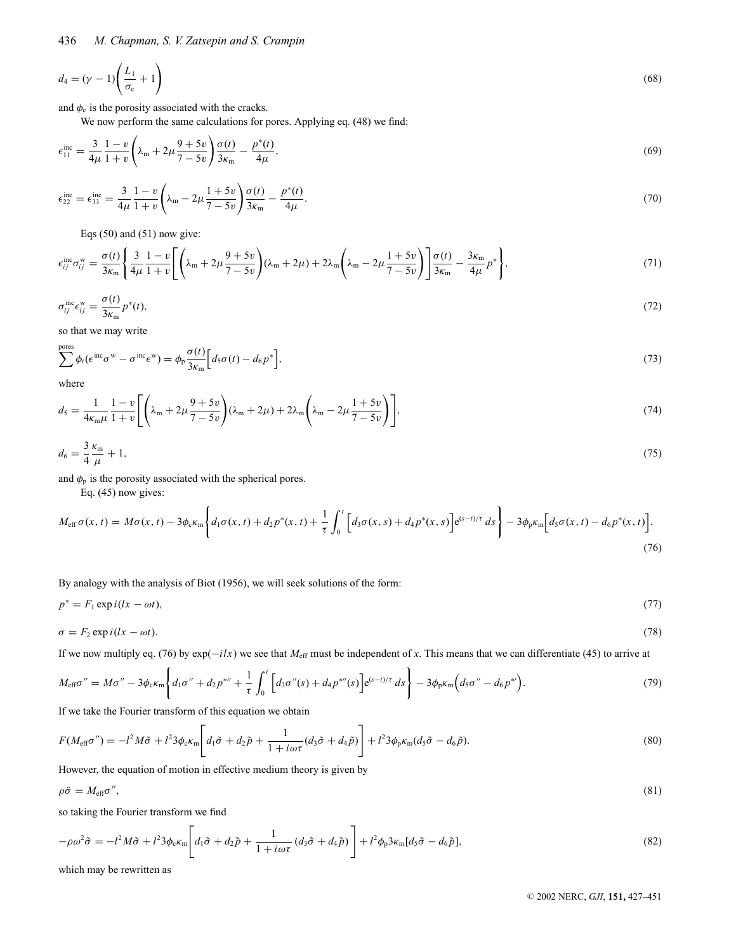$$
d_4 = (\gamma - 1) \left( \frac{L_1}{\sigma_c} + 1 \right) \tag{68}
$$

and  $\phi_c$  is the porosity associated with the cracks.

We now perform the same calculations for pores. Applying eq. (48) we find:

$$
\epsilon_{11}^{\text{inc}} = \frac{3}{4\mu} \frac{1 - v}{1 + v} \left( \lambda_{\text{m}} + 2\mu \frac{9 + 5v}{7 - 5v} \right) \frac{\sigma(t)}{3\kappa_{\text{m}}} - \frac{p^*(t)}{4\mu},\tag{69}
$$

$$
\epsilon_{22}^{\text{inc}} = \epsilon_{33}^{\text{inc}} = \frac{3}{4\mu} \frac{1 - v}{1 + v} \left( \lambda_{\text{m}} - 2\mu \frac{1 + 5v}{7 - 5v} \right) \frac{\sigma(t)}{3\kappa_{\text{m}}} - \frac{p^*(t)}{4\mu}.
$$
\n(70)

Eqs  $(50)$  and  $(51)$  now give:

$$
\epsilon_{ij}^{\text{inc}}\sigma_{ij}^{\text{w}} = \frac{\sigma(t)}{3\kappa_m} \left\{ \frac{3}{4\mu} \frac{1-\nu}{1+\nu} \left[ \left( \lambda_m + 2\mu \frac{9+5\nu}{7-5\nu} \right) (\lambda_m + 2\mu) + 2\lambda_m \left( \lambda_m - 2\mu \frac{1+5\nu}{7-5\nu} \right) \right] \frac{\sigma(t)}{3\kappa_m} - \frac{3\kappa_m}{4\mu} p^* \right\},\tag{71}
$$

$$
\sigma_{ij}^{\text{inc}} \epsilon_{ij}^{\text{w}} = \frac{\sigma(t)}{3\kappa_{\text{m}}} p^*(t),\tag{72}
$$

so that we may write

$$
\sum^{\text{pores}} \phi_i(\epsilon^{\text{inc}} \sigma^{\text{w}} - \sigma^{\text{inc}} \epsilon^{\text{w}}) = \phi_p \frac{\sigma(t)}{3\kappa_m} \Big[ d_5 \sigma(t) - d_6 p^* \Big],\tag{73}
$$

where

$$
d_5 = \frac{1}{4\kappa_m\mu} \frac{1 - v}{1 + v} \Bigg[ \left( \lambda_m + 2\mu \frac{9 + 5v}{7 - 5v} \right) (\lambda_m + 2\mu) + 2\lambda_m \left( \lambda_m - 2\mu \frac{1 + 5v}{7 - 5v} \right) \Bigg],\tag{74}
$$

$$
d_6 = \frac{3}{4} \frac{\kappa_{\rm m}}{\mu} + 1,\tag{75}
$$

and  $\phi_p$  is the porosity associated with the spherical pores.

Eq. (45) now gives:

$$
M_{\text{eff}}\sigma(x,t) = M\sigma(x,t) - 3\phi_c \kappa_m \Bigg\{ d_1 \sigma(x,t) + d_2 p^*(x,t) + \frac{1}{\tau} \int_0^t \Big[ d_3 \sigma(x,s) + d_4 p^*(x,s) \Big] e^{(s-t)/\tau} ds \Bigg\} - 3\phi_p \kappa_m \Big[ d_5 \sigma(x,t) - d_6 p^*(x,t) \Big].
$$
\n(76)

By analogy with the analysis of Biot (1956), we will seek solutions of the form:

$$
p^* = F_1 \exp i(lx - \omega t),\tag{77}
$$

$$
\sigma = F_2 \exp i(lx - \omega t). \tag{78}
$$

If we now multiply eq. (76) by exp(−*ilx*) we see that *M*eff must be independent of *x*. This means that we can differentiate (45) to arrive at

$$
M_{\text{eff}}\sigma'' = M\sigma'' - 3\phi_c \kappa_m \left\{ d_1 \sigma'' + d_2 p^{*''} + \frac{1}{\tau} \int_0^t \left[ d_3 \sigma''(s) + d_4 p^{*''}(s) \right] e^{(s-t)/\tau} ds \right\} - 3\phi_p \kappa_m \left( d_5 \sigma'' - d_6 p^{*'} \right). \tag{79}
$$

If we take the Fourier transform of this equation we obtain

$$
F(M_{\rm eff}\sigma'') = -l^2M\tilde{\sigma} + l^23\phi_{\rm c}\kappa_{\rm m}\left[d_1\tilde{\sigma} + d_2\tilde{p} + \frac{1}{1+i\omega\tau}(d_3\tilde{\sigma} + d_4\tilde{p})\right] + l^23\phi_{\rm p}\kappa_{\rm m}(d_5\tilde{\sigma} - d_6\tilde{p}).\tag{80}
$$

However, the equation of motion in effective medium theory is given by

$$
\rho \ddot{\sigma} = M_{\text{eff}} \sigma'', \tag{81}
$$

so taking the Fourier transform we find

$$
-\rho\omega^2\tilde{\sigma} = -l^2M\tilde{\sigma} + l^23\phi_c\kappa_m \left[d_1\tilde{\sigma} + d_2\tilde{p} + \frac{1}{1+i\omega\tau}(d_3\tilde{\sigma} + d_4\tilde{p})\right] + l^2\phi_p3\kappa_m[d_5\tilde{\sigma} - d_6\tilde{p}],
$$
\n(82)

which may be rewritten as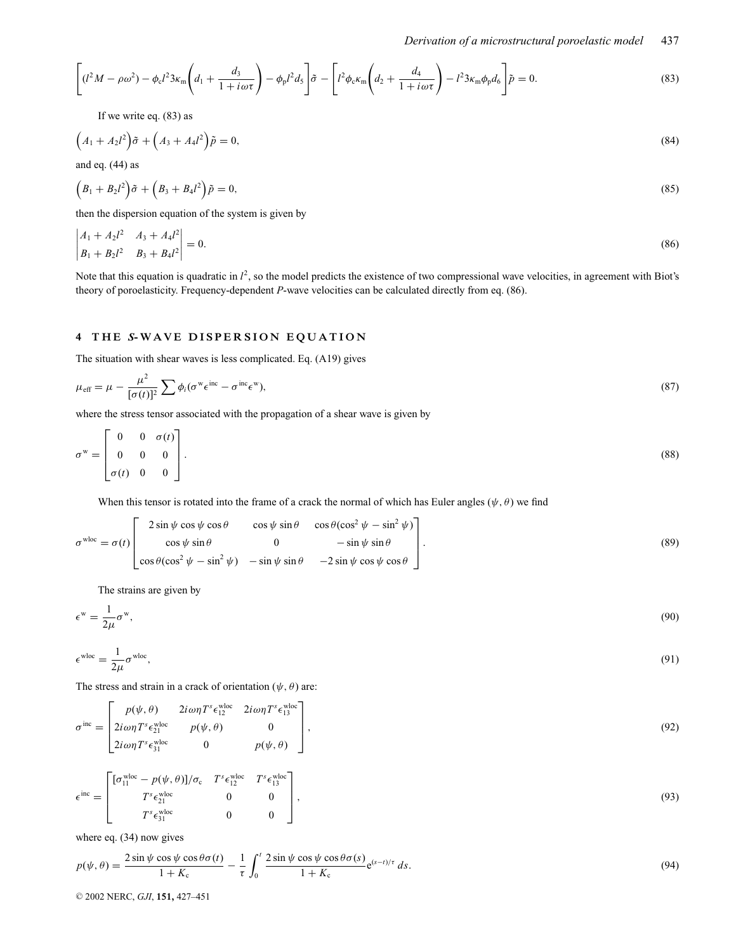$$
\left[ (l^2 M - \rho \omega^2) - \phi_c l^2 3\kappa_m \left( d_1 + \frac{d_3}{1 + i \omega \tau} \right) - \phi_p l^2 d_5 \right] \tilde{\sigma} - \left[ l^2 \phi_c \kappa_m \left( d_2 + \frac{d_4}{1 + i \omega \tau} \right) - l^2 3\kappa_m \phi_p d_6 \right] \tilde{p} = 0. \tag{83}
$$

If we write eq. (83) as

$$
\left(A_1 + A_2 l^2\right)\tilde{\sigma} + \left(A_3 + A_4 l^2\right)\tilde{p} = 0,\tag{84}
$$

and eq. (44) as

 $\overline{a}$ 

$$
(B_1 + B_2 l^2)\tilde{\sigma} + (B_3 + B_4 l^2)\tilde{p} = 0, \tag{85}
$$

then the dispersion equation of the system is given by

$$
\begin{vmatrix} A_1 + A_2 l^2 & A_3 + A_4 l^2 \\ B_1 + B_2 l^2 & B_3 + B_4 l^2 \end{vmatrix} = 0.
$$
\n(86)

Note that this equation is quadratic in  $l^2$ , so the model predicts the existence of two compressional wave velocities, in agreement with Biot's theory of poroelasticity. Frequency-dependent *P*-wave velocities can be calculated directly from eq. (86).

## **4 THE** *S***-WAVE DISPERSION EQUATION**

The situation with shear waves is less complicated. Eq. (A19) gives

 $\blacksquare$ 

$$
\mu_{\text{eff}} = \mu - \frac{\mu^2}{[\sigma(t)]^2} \sum \phi_i (\sigma^{\text{w}} \epsilon^{\text{inc}} - \sigma^{\text{inc}} \epsilon^{\text{w}}), \tag{87}
$$

where the stress tensor associated with the propagation of a shear wave is given by

$$
\sigma^{\rm w} = \begin{bmatrix} 0 & 0 & \sigma(t) \\ 0 & 0 & 0 \\ \sigma(t) & 0 & 0 \end{bmatrix} . \tag{88}
$$

When this tensor is rotated into the frame of a crack the normal of which has Euler angles ( $\psi$ ,  $\theta$ ) we find

$$
\sigma^{\text{wloc}} = \sigma(t) \begin{bmatrix} 2\sin\psi\cos\psi\cos\theta & \cos\psi\sin\theta & \cos\theta(\cos^2\psi - \sin^2\psi) \\ \cos\psi\sin\theta & 0 & -\sin\psi\sin\theta \\ \cos\theta(\cos^2\psi - \sin^2\psi) & -\sin\psi\sin\theta & -2\sin\psi\cos\psi\cos\theta \end{bmatrix} . \tag{89}
$$

The strains are given by

$$
\epsilon^{\mathbf{w}} = \frac{1}{2\mu} \sigma^{\mathbf{w}},\tag{90}
$$

$$
\epsilon^{\text{wloc}} = \frac{1}{2\mu} \sigma^{\text{wloc}},\tag{91}
$$

The stress and strain in a crack of orientation  $(\psi, \theta)$  are:

$$
\sigma^{\text{inc}} = \begin{bmatrix} p(\psi, \theta) & 2i\omega\eta T^s \epsilon_{12}^{\text{wloc}} & 2i\omega\eta T^s \epsilon_{13}^{\text{wloc}} \\ 2i\omega\eta T^s \epsilon_{21}^{\text{wloc}} & p(\psi, \theta) & 0 \\ 2i\omega\eta T^s \epsilon_{31}^{\text{wloc}} & 0 & p(\psi, \theta) \end{bmatrix},
$$
\n(92)

$$
\epsilon^{\text{inc}} = \begin{bmatrix} [\sigma_{11}^{\text{wloc}} - p(\psi, \theta)] / \sigma_{\text{c}} & T^s \epsilon_{12}^{\text{wloc}} & T^s \epsilon_{13}^{\text{wloc}} \\ T^s \epsilon_{21}^{\text{wloc}} & 0 & 0 \\ T^s \epsilon_{31}^{\text{wloc}} & 0 & 0 \end{bmatrix},
$$
\n(93)

where eq. (34) now gives

$$
p(\psi,\theta) = \frac{2\sin\psi\cos\psi\cos\theta\sigma(t)}{1+K_c} - \frac{1}{\tau} \int_0^t \frac{2\sin\psi\cos\psi\cos\theta\sigma(s)}{1+K_c} e^{(s-t)/\tau} ds.
$$
\n(94)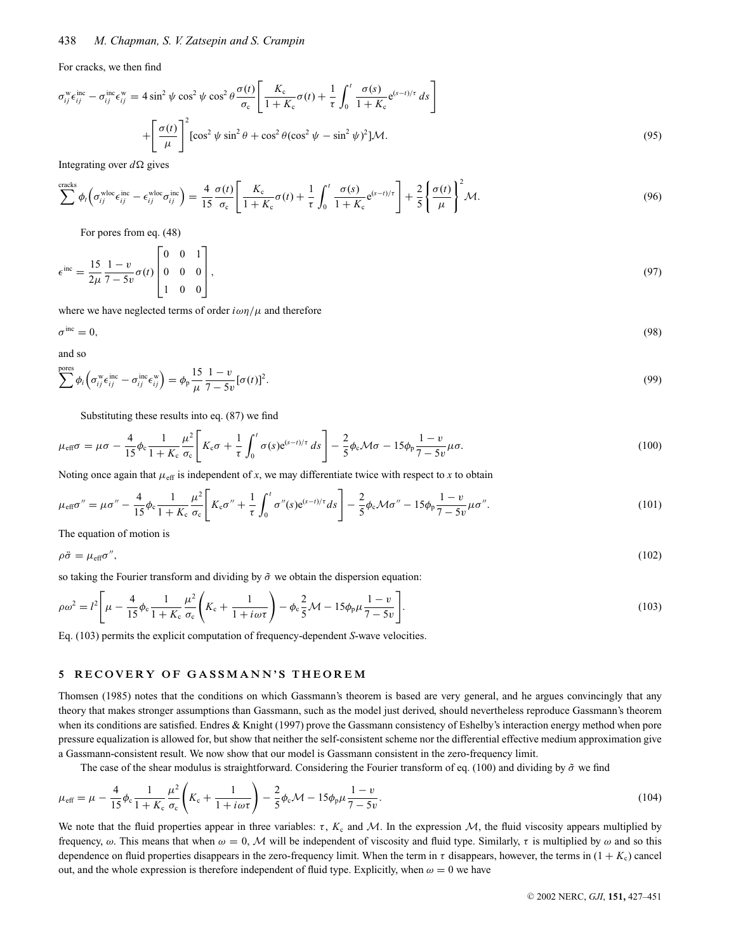## 438 *M. Chapman, S. V. Zatsepin and S. Crampin*

For cracks, we then find

$$
\sigma_{ij}^{\text{w}} \epsilon_{ij}^{\text{inc}} - \sigma_{ij}^{\text{inc}} \epsilon_{ij}^{\text{w}} = 4 \sin^2 \psi \cos^2 \psi \cos^2 \theta \frac{\sigma(t)}{\sigma_c} \left[ \frac{K_c}{1 + K_c} \sigma(t) + \frac{1}{\tau} \int_0^t \frac{\sigma(s)}{1 + K_c} e^{(s-t)/\tau} ds \right] + \left[ \frac{\sigma(t)}{\mu} \right]^2 \left[ \cos^2 \psi \sin^2 \theta + \cos^2 \theta (\cos^2 \psi - \sin^2 \psi)^2 \right] \mathcal{M}.
$$
 (95)

Integrating over  $d\Omega$  gives

$$
\sum^{\text{cracks}} \phi_t \Big( \sigma_{ij}^{\text{wloc}} \epsilon_{ij}^{\text{inc}} - \epsilon_{ij}^{\text{wloc}} \sigma_{ij}^{\text{inc}} \Big) = \frac{4}{15} \frac{\sigma(t)}{\sigma_c} \Bigg[ \frac{K_c}{1 + K_c} \sigma(t) + \frac{1}{\tau} \int_0^t \frac{\sigma(s)}{1 + K_c} e^{(s-t)/\tau} \Bigg] + \frac{2}{5} \Bigg\{ \frac{\sigma(t)}{\mu} \Bigg\}^2 \mathcal{M}. \tag{96}
$$

For pores from eq. (48)

$$
\epsilon^{\rm inc} = \frac{15}{2\mu} \frac{1 - v}{7 - 5v} \sigma(t) \begin{bmatrix} 0 & 0 & 1 \\ 0 & 0 & 0 \\ 1 & 0 & 0 \end{bmatrix},\tag{97}
$$

where we have neglected terms of order  $i\omega\eta/\mu$  and therefore

$$
\sigma^{\rm inc} = 0,\tag{98}
$$

and so

$$
\sum^{\text{pores}} \phi_i \left( \sigma_{ij}^{\text{w}} \epsilon_{ij}^{\text{inc}} - \sigma_{ij}^{\text{inc}} \epsilon_{ij}^{\text{w}} \right) = \phi_p \frac{15}{\mu} \frac{1 - v}{7 - 5v} [\sigma(t)]^2.
$$
\n(99)

Substituting these results into eq. (87) we find

$$
\mu_{\text{eff}}\sigma = \mu\sigma - \frac{4}{15}\phi_c \frac{1}{1 + K_c} \frac{\mu^2}{\sigma_c} \left[ K_c \sigma + \frac{1}{\tau} \int_0^t \sigma(s) e^{(s-t)/\tau} ds \right] - \frac{2}{5}\phi_c \mathcal{M}\sigma - 15\phi_p \frac{1 - v}{7 - 5v} \mu\sigma. \tag{100}
$$

Noting once again that  $\mu_{\text{eff}}$  is independent of *x*, we may differentiate twice with respect to *x* to obtain

$$
\mu_{\text{eff}}\sigma'' = \mu\sigma'' - \frac{4}{15}\phi_c \frac{1}{1 + K_c} \frac{\mu^2}{\sigma_c} \left[ K_c \sigma'' + \frac{1}{\tau} \int_0^t \sigma''(s) e^{(s-t)/\tau} ds \right] - \frac{2}{5}\phi_c \mathcal{M}\sigma'' - 15\phi_p \frac{1 - v}{7 - 5v} \mu \sigma''.
$$
(101)

The equation of motion is

$$
\rho \ddot{\sigma} = \mu_{\text{eff}} \sigma'', \tag{102}
$$

so taking the Fourier transform and dividing by  $\tilde{\sigma}$  we obtain the dispersion equation:

$$
\rho \omega^2 = l^2 \left[ \mu - \frac{4}{15} \phi_c \frac{1}{1 + K_c} \frac{\mu^2}{\sigma_c} \left( K_c + \frac{1}{1 + i \omega \tau} \right) - \phi_c \frac{2}{5} \mathcal{M} - 15 \phi_p \mu \frac{1 - v}{7 - 5v} \right].
$$
\n(103)

Eq. (103) permits the explicit computation of frequency-dependent *S*-wave velocities.

## **5 RECOVERY OF GASSMANN'S THEOREM**

Thomsen (1985) notes that the conditions on which Gassmann's theorem is based are very general, and he argues convincingly that any theory that makes stronger assumptions than Gassmann, such as the model just derived, should nevertheless reproduce Gassmann's theorem when its conditions are satisfied. Endres & Knight (1997) prove the Gassmann consistency of Eshelby's interaction energy method when pore pressure equalization is allowed for, but show that neither the self-consistent scheme nor the differential effective medium approximation give a Gassmann-consistent result. We now show that our model is Gassmann consistent in the zero-frequency limit.

The case of the shear modulus is straightforward. Considering the Fourier transform of eq. (100) and dividing by  $\tilde{\sigma}$  we find

$$
\mu_{\text{eff}} = \mu - \frac{4}{15} \phi_c \frac{1}{1 + K_c} \frac{\mu^2}{\sigma_c} \left( K_c + \frac{1}{1 + i \omega \tau} \right) - \frac{2}{5} \phi_c \mathcal{M} - 15 \phi_p \mu \frac{1 - v}{7 - 5v}.
$$
\n(104)

We note that the fluid properties appear in three variables:  $\tau$ ,  $K_c$  and M. In the expression M, the fluid viscosity appears multiplied by frequency,  $\omega$ . This means that when  $\omega = 0$ , M will be independent of viscosity and fluid type. Similarly,  $\tau$  is multiplied by  $\omega$  and so this dependence on fluid properties disappears in the zero-frequency limit. When the term in  $\tau$  disappears, however, the terms in  $(1 + K_c)$  cancel out, and the whole expression is therefore independent of fluid type. Explicitly, when  $\omega = 0$  we have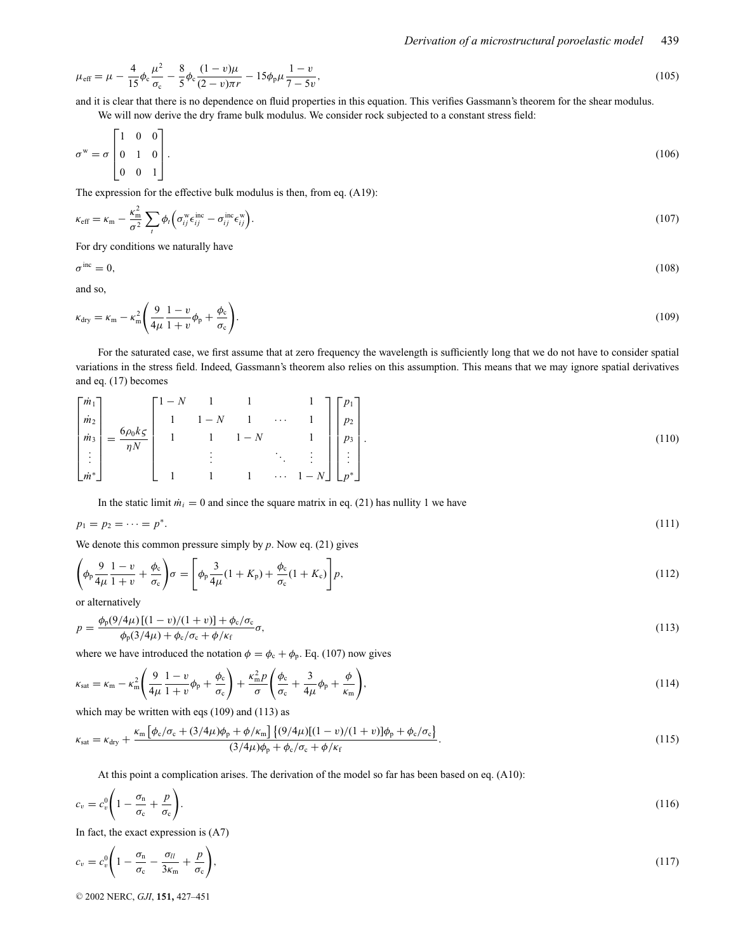$$
\mu_{\text{eff}} = \mu - \frac{4}{15} \phi_c \frac{\mu^2}{\sigma_c} - \frac{8}{5} \phi_c \frac{(1-v)\mu}{(2-v)\pi r} - 15 \phi_p \mu \frac{1-v}{7-5v},\tag{105}
$$

and it is clear that there is no dependence on fluid properties in this equation. This verifies Gassmann's theorem for the shear modulus.

We will now derive the dry frame bulk modulus. We consider rock subjected to a constant stress field:

$$
\sigma^{\mathbf{w}} = \sigma \begin{bmatrix} 1 & 0 & 0 \\ 0 & 1 & 0 \\ 0 & 0 & 1 \end{bmatrix} . \tag{106}
$$

The expression for the effective bulk modulus is then, from eq. (A19):

$$
\kappa_{\text{eff}} = \kappa_{\text{m}} - \frac{\kappa_{\text{m}}^2}{\sigma^2} \sum_{i} \phi_i \left( \sigma_{ij}^{\text{w}} \epsilon_{ij}^{\text{inc}} - \sigma_{ij}^{\text{inc}} \epsilon_{ij}^{\text{w}} \right). \tag{107}
$$

For dry conditions we naturally have

$$
\sigma^{\rm inc} = 0,\tag{108}
$$

and so,

$$
\kappa_{\rm dry} = \kappa_{\rm m} - \kappa_{\rm m}^2 \left( \frac{9}{4\mu} \frac{1 - \nu}{1 + \nu} \phi_{\rm p} + \frac{\phi_{\rm c}}{\sigma_{\rm c}} \right). \tag{109}
$$

For the saturated case, we first assume that at zero frequency the wavelength is sufficiently long that we do not have to consider spatial variations in the stress field. Indeed, Gassmann's theorem also relies on this assumption. This means that we may ignore spatial derivatives and eq. (17) becomes

|                                                                                                                                                                                                                                                                                                                                                         |  |  |  | 110) |
|---------------------------------------------------------------------------------------------------------------------------------------------------------------------------------------------------------------------------------------------------------------------------------------------------------------------------------------------------------|--|--|--|------|
|                                                                                                                                                                                                                                                                                                                                                         |  |  |  |      |
| $\begin{bmatrix} \dot{m}_1 \\ \dot{m}_2 \\ \dot{m}_3 \\ \vdots \\ \dot{m}^* \end{bmatrix} = \frac{6\rho_0 k_S}{\eta N} \begin{bmatrix} 1-N & 1 & 1 & 1 \\ 1 & 1-N & 1 & \cdots & 1 \\ 1 & 1 & 1-N & 1 \\ \vdots & \vdots & \ddots & \vdots \\ 1 & 1 & 1 & \cdots & 1-N \end{bmatrix} \begin{bmatrix} p_1 \\ p_2 \\ p_3 \\ \vdots \\ p^* \end{bmatrix}.$ |  |  |  |      |

In the static limit  $\dot{m}_i = 0$  and since the square matrix in eq. (21) has nullity 1 we have

$$
p_1 = p_2 = \dots = p^*.\tag{111}
$$

We denote this common pressure simply by *p*. Now eq. (21) gives

$$
\left(\phi_{\mathfrak{p}}\frac{9}{4\mu}\frac{1-v}{1+v}+\frac{\phi_{\mathfrak{c}}}{\sigma_{\mathfrak{c}}}\right)\sigma=\left[\phi_{\mathfrak{p}}\frac{3}{4\mu}(1+K_{\mathfrak{p}})+\frac{\phi_{\mathfrak{c}}}{\sigma_{\mathfrak{c}}}(1+K_{\mathfrak{c}})\right]p,\tag{112}
$$

or alternatively

$$
p = \frac{\phi_p(9/4\mu)[(1-v)/(1+v)] + \phi_c/\sigma_c}{\phi_p(3/4\mu) + \phi_c/\sigma_c + \phi/\kappa_f} \sigma,
$$
\n(113)

where we have introduced the notation  $\phi = \phi_c + \phi_p$ . Eq. (107) now gives

$$
\kappa_{\rm sat} = \kappa_{\rm m} - \kappa_{\rm m}^2 \left( \frac{9}{4\mu} \frac{1 - v}{1 + v} \phi_{\rm p} + \frac{\phi_{\rm c}}{\sigma_{\rm c}} \right) + \frac{\kappa_{\rm m}^2 p}{\sigma} \left( \frac{\phi_{\rm c}}{\sigma_{\rm c}} + \frac{3}{4\mu} \phi_{\rm p} + \frac{\phi}{\kappa_{\rm m}} \right),\tag{114}
$$

which may be written with eqs (109) and (113) as

$$
\kappa_{\rm sat} = \kappa_{\rm dry} + \frac{\kappa_{\rm m} \left[ \phi_{\rm c}/\sigma_{\rm c} + (3/4\mu)\phi_{\rm p} + \phi/\kappa_{\rm m} \right] \left\{ (9/4\mu) [(1 - v)/(1 + v)] \phi_{\rm p} + \phi_{\rm c}/\sigma_{\rm c} \right\}}{(3/4\mu)\phi_{\rm p} + \phi_{\rm c}/\sigma_{\rm c} + \phi/\kappa_{\rm f}}.
$$
(115)

At this point a complication arises. The derivation of the model so far has been based on eq. (A10):

$$
c_v = c_v^0 \left( 1 - \frac{\sigma_\text{n}}{\sigma_\text{c}} + \frac{p}{\sigma_\text{c}} \right). \tag{116}
$$

In fact, the exact expression is (A7)

$$
c_v = c_v^0 \left( 1 - \frac{\sigma_\text{n}}{\sigma_\text{c}} - \frac{\sigma_{ll}}{3\kappa_\text{m}} + \frac{p}{\sigma_\text{c}} \right),\tag{117}
$$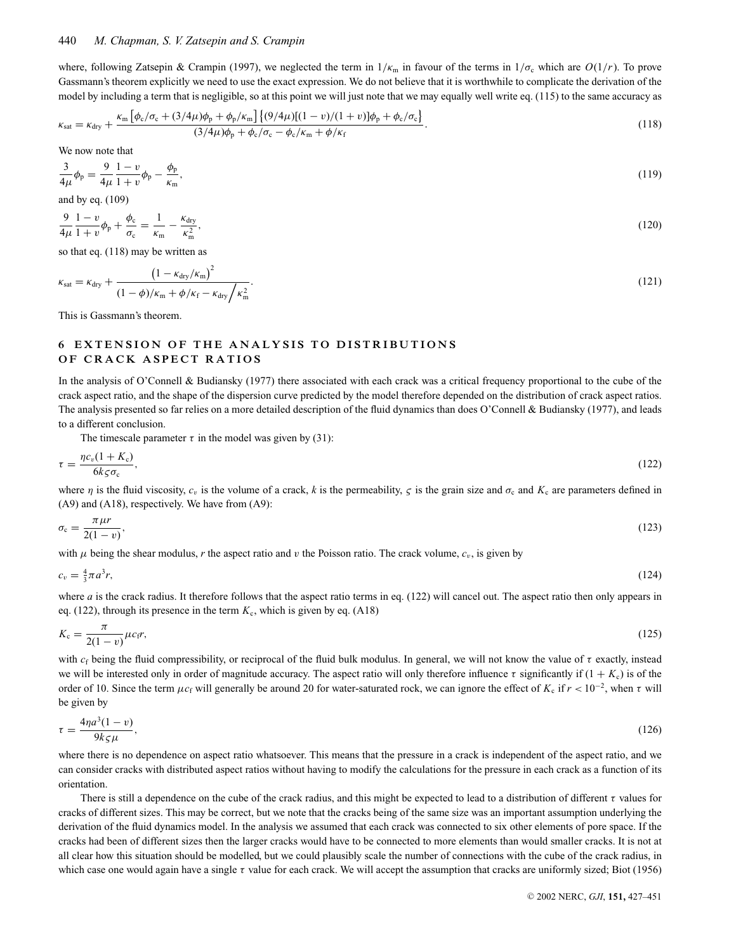where, following Zatsepin & Crampin (1997), we neglected the term in  $1/\kappa_m$  in favour of the terms in  $1/\sigma_c$  which are  $O(1/r)$ . To prove Gassmann's theorem explicitly we need to use the exact expression. We do not believe that it is worthwhile to complicate the derivation of the model by including a term that is negligible, so at this point we will just note that we may equally well write eq. (115) to the same accuracy as

$$
\kappa_{\rm sat} = \kappa_{\rm dry} + \frac{\kappa_{\rm m} \left[ \phi_{\rm c} / \sigma_{\rm c} + (3/4\mu) \phi_{\rm p} + \phi_{\rm p} / \kappa_{\rm m} \right] \left\{ (9/4\mu) [(1 - v)/(1 + v)] \phi_{\rm p} + \phi_{\rm c} / \sigma_{\rm c} \right\}}{(3/4\mu) \phi_{\rm p} + \phi_{\rm c} / \sigma_{\rm c} - \phi_{\rm c} / \kappa_{\rm m} + \phi / \kappa_{\rm f}}.
$$
\n(118)

We now note that

$$
\frac{3}{4\mu}\phi_{\mathbf{p}} = \frac{9}{4\mu}\frac{1-v}{1+v}\phi_{\mathbf{p}} - \frac{\phi_{\mathbf{p}}}{\kappa_{\mathbf{m}}},\tag{119}
$$

and by eq. (109)

$$
\frac{9}{4\mu} \frac{1-v}{1+v} \phi_p + \frac{\phi_c}{\sigma_c} = \frac{1}{\kappa_m} - \frac{\kappa_{\rm dry}}{\kappa_m^2},\tag{120}
$$

so that eq. (118) may be written as

$$
\kappa_{\rm sat} = \kappa_{\rm dry} + \frac{\left(1 - \kappa_{\rm dry}/\kappa_{\rm m}\right)^2}{\left(1 - \phi\right)/\kappa_{\rm m} + \phi/\kappa_{\rm f} - \kappa_{\rm dry}}.
$$
\n(121)

This is Gassmann's theorem.

## **6 EXTENSION OF THE ANALYSIS TO DISTRIBUTIONS OF CRACK ASPECT RATIOS**

In the analysis of O'Connell & Budiansky (1977) there associated with each crack was a critical frequency proportional to the cube of the crack aspect ratio, and the shape of the dispersion curve predicted by the model therefore depended on the distribution of crack aspect ratios. The analysis presented so far relies on a more detailed description of the fluid dynamics than does O'Connell & Budiansky (1977), and leads to a different conclusion.

The timescale parameter  $\tau$  in the model was given by (31):

$$
\tau = \frac{\eta c_v (1 + K_c)}{6k \zeta \sigma_c},\tag{122}
$$

where  $\eta$  is the fluid viscosity,  $c_v$  is the volume of a crack, k is the permeability,  $\zeta$  is the grain size and  $\sigma_c$  and  $K_c$  are parameters defined in (A9) and (A18), respectively. We have from (A9):

$$
\sigma_{\rm c} = \frac{\pi \mu r}{2(1 - v)},\tag{123}
$$

with  $\mu$  being the shear modulus,  $r$  the aspect ratio and  $v$  the Poisson ratio. The crack volume,  $c_v$ , is given by

$$
c_v = \frac{4}{3}\pi a^3 r,\tag{124}
$$

where *a* is the crack radius. It therefore follows that the aspect ratio terms in eq. (122) will cancel out. The aspect ratio then only appears in eq. (122), through its presence in the term  $K_c$ , which is given by eq. (A18)

$$
K_{\rm c} = \frac{\pi}{2(1-v)} \mu c_{\rm f} r,\tag{125}
$$

with  $c_f$  being the fluid compressibility, or reciprocal of the fluid bulk modulus. In general, we will not know the value of  $\tau$  exactly, instead we will be interested only in order of magnitude accuracy. The aspect ratio will only therefore influence  $\tau$  significantly if  $(1 + K_c)$  is of the order of 10. Since the term  $\mu c_f$  will generally be around 20 for water-saturated rock, we can ignore the effect of  $K_c$  if  $r < 10^{-2}$ , when  $\tau$  will be given by

$$
\tau = \frac{4\eta a^3 (1 - v)}{9k \zeta \mu},\tag{126}
$$

where there is no dependence on aspect ratio whatsoever. This means that the pressure in a crack is independent of the aspect ratio, and we can consider cracks with distributed aspect ratios without having to modify the calculations for the pressure in each crack as a function of its orientation.

There is still a dependence on the cube of the crack radius, and this might be expected to lead to a distribution of different  $\tau$  values for cracks of different sizes. This may be correct, but we note that the cracks being of the same size was an important assumption underlying the derivation of the fluid dynamics model. In the analysis we assumed that each crack was connected to six other elements of pore space. If the cracks had been of different sizes then the larger cracks would have to be connected to more elements than would smaller cracks. It is not at all clear how this situation should be modelled, but we could plausibly scale the number of connections with the cube of the crack radius, in which case one would again have a single  $\tau$  value for each crack. We will accept the assumption that cracks are uniformly sized; Biot (1956)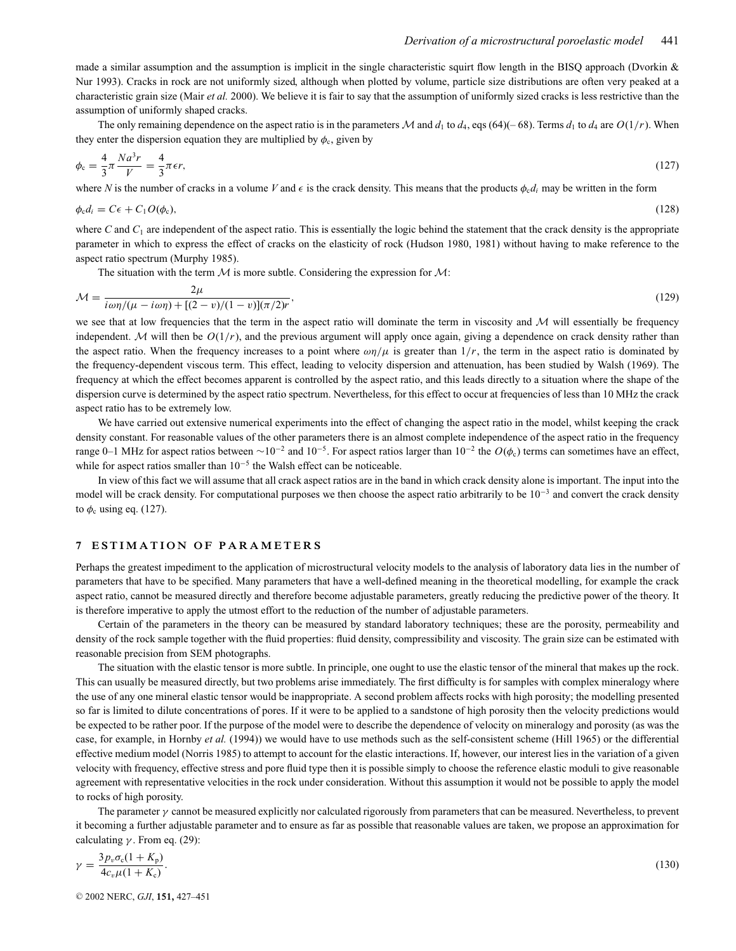made a similar assumption and the assumption is implicit in the single characteristic squirt flow length in the BISQ approach (Dvorkin & Nur 1993). Cracks in rock are not uniformly sized, although when plotted by volume, particle size distributions are often very peaked at a characteristic grain size (Mair *et al.* 2000). We believe it is fair to say that the assumption of uniformly sized cracks is less restrictive than the assumption of uniformly shaped cracks.

The only remaining dependence on the aspect ratio is in the parameters M and  $d_1$  to  $d_4$ , eqs (64)(–68). Terms  $d_1$  to  $d_4$  are  $O(1/r)$ . When they enter the dispersion equation they are multiplied by  $\phi_c$ , given by

$$
\phi_c = \frac{4}{3}\pi \frac{Na^3r}{V} = \frac{4}{3}\pi\epsilon r,\tag{127}
$$

where *N* is the number of cracks in a volume *V* and  $\epsilon$  is the crack density. This means that the products  $\phi_c d_i$  may be written in the form

$$
\phi_{\rm c} d_i = C\epsilon + C_1 O(\phi_{\rm c}),\tag{128}
$$

where  $C$  and  $C_1$  are independent of the aspect ratio. This is essentially the logic behind the statement that the crack density is the appropriate parameter in which to express the effect of cracks on the elasticity of rock (Hudson 1980, 1981) without having to make reference to the aspect ratio spectrum (Murphy 1985).

The situation with the term  $M$  is more subtle. Considering the expression for  $M$ :

$$
\mathcal{M} = \frac{2\mu}{i\omega\eta/(\mu - i\omega\eta) + [(2 - v)/(1 - v)](\pi/2)r},\tag{129}
$$

we see that at low frequencies that the term in the aspect ratio will dominate the term in viscosity and  $M$  will essentially be frequency independent. M will then be  $O(1/r)$ , and the previous argument will apply once again, giving a dependence on crack density rather than the aspect ratio. When the frequency increases to a point where  $\omega\eta/\mu$  is greater than  $1/r$ , the term in the aspect ratio is dominated by the frequency-dependent viscous term. This effect, leading to velocity dispersion and attenuation, has been studied by Walsh (1969). The frequency at which the effect becomes apparent is controlled by the aspect ratio, and this leads directly to a situation where the shape of the dispersion curve is determined by the aspect ratio spectrum. Nevertheless, for this effect to occur at frequencies of less than 10 MHz the crack aspect ratio has to be extremely low.

We have carried out extensive numerical experiments into the effect of changing the aspect ratio in the model, whilst keeping the crack density constant. For reasonable values of the other parameters there is an almost complete independence of the aspect ratio in the frequency range 0–1 MHz for aspect ratios between  $\sim 10^{-2}$  and  $10^{-5}$ . For aspect ratios larger than  $10^{-2}$  the  $O(\phi_c)$  terms can sometimes have an effect, while for aspect ratios smaller than  $10^{-5}$  the Walsh effect can be noticeable.

In view of this fact we will assume that all crack aspect ratios are in the band in which crack density alone is important. The input into the model will be crack density. For computational purposes we then choose the aspect ratio arbitrarily to be  $10^{-3}$  and convert the crack density to  $\phi_c$  using eq. (127).

### **7 ESTIMATION OF PARAMETERS**

Perhaps the greatest impediment to the application of microstructural velocity models to the analysis of laboratory data lies in the number of parameters that have to be specified. Many parameters that have a well-defined meaning in the theoretical modelling, for example the crack aspect ratio, cannot be measured directly and therefore become adjustable parameters, greatly reducing the predictive power of the theory. It is therefore imperative to apply the utmost effort to the reduction of the number of adjustable parameters.

Certain of the parameters in the theory can be measured by standard laboratory techniques; these are the porosity, permeability and density of the rock sample together with the fluid properties: fluid density, compressibility and viscosity. The grain size can be estimated with reasonable precision from SEM photographs.

The situation with the elastic tensor is more subtle. In principle, one ought to use the elastic tensor of the mineral that makes up the rock. This can usually be measured directly, but two problems arise immediately. The first difficulty is for samples with complex mineralogy where the use of any one mineral elastic tensor would be inappropriate. A second problem affects rocks with high porosity; the modelling presented so far is limited to dilute concentrations of pores. If it were to be applied to a sandstone of high porosity then the velocity predictions would be expected to be rather poor. If the purpose of the model were to describe the dependence of velocity on mineralogy and porosity (as was the case, for example, in Hornby *et al.* (1994)) we would have to use methods such as the self-consistent scheme (Hill 1965) or the differential effective medium model (Norris 1985) to attempt to account for the elastic interactions. If, however, our interest lies in the variation of a given velocity with frequency, effective stress and pore fluid type then it is possible simply to choose the reference elastic moduli to give reasonable agreement with representative velocities in the rock under consideration. Without this assumption it would not be possible to apply the model to rocks of high porosity.

The parameter  $\gamma$  cannot be measured explicitly nor calculated rigorously from parameters that can be measured. Nevertheless, to prevent it becoming a further adjustable parameter and to ensure as far as possible that reasonable values are taken, we propose an approximation for calculating  $\gamma$ . From eq. (29):

$$
\gamma = \frac{3p_v\sigma_c(1+K_p)}{4c_v\mu(1+K_c)}
$$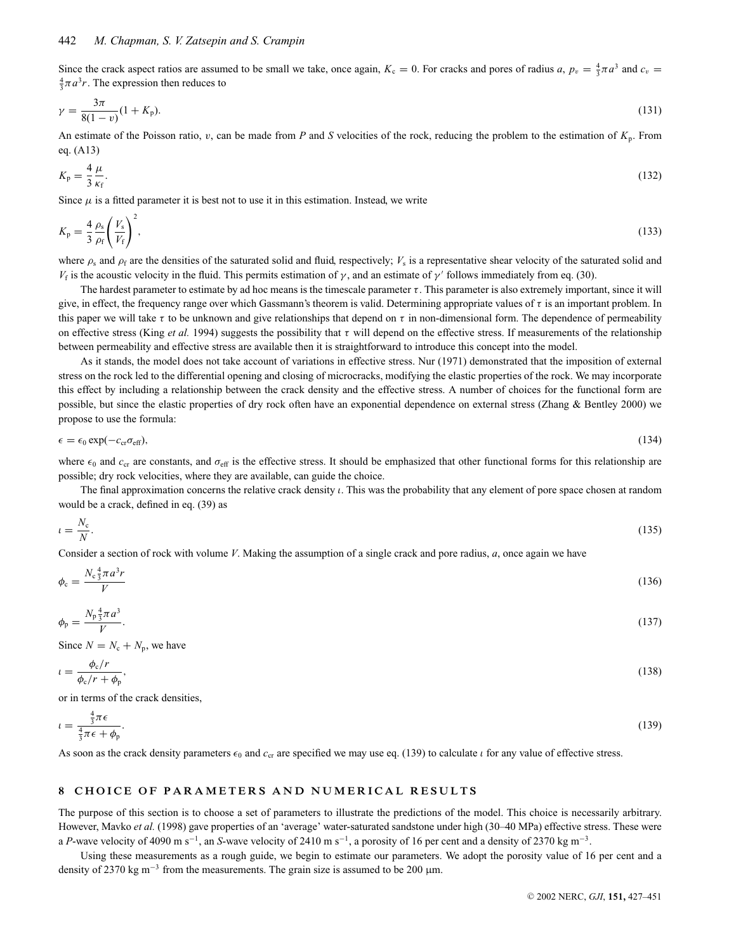Since the crack aspect ratios are assumed to be small we take, once again,  $K_c = 0$ . For cracks and pores of radius *a*,  $p_v = \frac{4}{3}\pi a^3$  and  $c_v = \frac{4}{3}\pi a^3$  and  $c_v = \frac{4}{3}\pi a^3$ .  $\frac{4}{3}\pi a^3r$ . The expression then reduces to

$$
\gamma = \frac{3\pi}{8(1-v)}(1+K_p). \tag{131}
$$

An estimate of the Poisson ratio, v, can be made from *P* and *S* velocities of the rock, reducing the problem to the estimation of *K*p. From eq. (A13)

$$
K_{\rm p} = \frac{4}{3} \frac{\mu}{\kappa_{\rm f}}.\tag{132}
$$

Since  $\mu$  is a fitted parameter it is best not to use it in this estimation. Instead, we write

$$
K_{\rm p} = \frac{4}{3} \frac{\rho_{\rm s}}{\rho_{\rm f}} \left( \frac{V_{\rm s}}{V_{\rm f}} \right)^2,\tag{133}
$$

where  $\rho_s$  and  $\rho_f$  are the densities of the saturated solid and fluid, respectively;  $V_s$  is a representative shear velocity of the saturated solid and  $V_f$  is the acoustic velocity in the fluid. This permits estimation of  $\gamma$ , and an estimate of  $\gamma'$  follows immediately from eq. (30).

The hardest parameter to estimate by ad hoc means is the timescale parameter  $\tau$ . This parameter is also extremely important, since it will give, in effect, the frequency range over which Gassmann's theorem is valid. Determining appropriate values of  $\tau$  is an important problem. In this paper we will take  $\tau$  to be unknown and give relationships that depend on  $\tau$  in non-dimensional form. The dependence of permeability on effective stress (King *et al.* 1994) suggests the possibility that τ will depend on the effective stress. If measurements of the relationship between permeability and effective stress are available then it is straightforward to introduce this concept into the model.

As it stands, the model does not take account of variations in effective stress. Nur (1971) demonstrated that the imposition of external stress on the rock led to the differential opening and closing of microcracks, modifying the elastic properties of the rock. We may incorporate this effect by including a relationship between the crack density and the effective stress. A number of choices for the functional form are possible, but since the elastic properties of dry rock often have an exponential dependence on external stress (Zhang & Bentley 2000) we propose to use the formula:

$$
\epsilon = \epsilon_0 \exp(-c_{\rm cr} \sigma_{\rm eff}),\tag{134}
$$

where  $\epsilon_0$  and  $c_{cr}$  are constants, and  $\sigma_{\text{eff}}$  is the effective stress. It should be emphasized that other functional forms for this relationship are possible; dry rock velocities, where they are available, can guide the choice.

The final approximation concerns the relative crack density ι. This was the probability that any element of pore space chosen at random would be a crack, defined in eq. (39) as

$$
t = \frac{N_c}{N}.\tag{135}
$$

Consider a section of rock with volume *V*. Making the assumption of a single crack and pore radius, *a*, once again we have

$$
\phi_{\rm c} = \frac{N_{\rm c} \frac{4}{3} \pi a^3 r}{V} \tag{136}
$$

$$
\phi_p = \frac{N_p \frac{4}{3} \pi a^3}{V}.
$$
\n(137)

Since  $N = N_c + N_p$ , we have

$$
t = \frac{\phi_c/r}{\phi_c/r + \phi_p},\tag{138}
$$

or in terms of the crack densities,

$$
t = \frac{\frac{4}{3}\pi\epsilon}{\frac{4}{3}\pi\epsilon + \phi_p}.\tag{139}
$$

As soon as the crack density parameters  $\epsilon_0$  and  $c_{cr}$  are specified we may use eq. (139) to calculate *i* for any value of effective stress.

## **8 CHOICE OF PARAMETERS AND NUMERICAL RESULTS**

The purpose of this section is to choose a set of parameters to illustrate the predictions of the model. This choice is necessarily arbitrary. However, Mavko *et al.* (1998) gave properties of an 'average' water-saturated sandstone under high (30–40 MPa) effective stress. These were a *P*-wave velocity of 4090 m s<sup>-1</sup>, an *S*-wave velocity of 2410 m s<sup>-1</sup>, a porosity of 16 per cent and a density of 2370 kg m<sup>-3</sup>.

Using these measurements as a rough guide, we begin to estimate our parameters. We adopt the porosity value of 16 per cent and a density of 2370 kg m<sup>−</sup><sup>3</sup> from the measurements. The grain size is assumed to be 200 µm.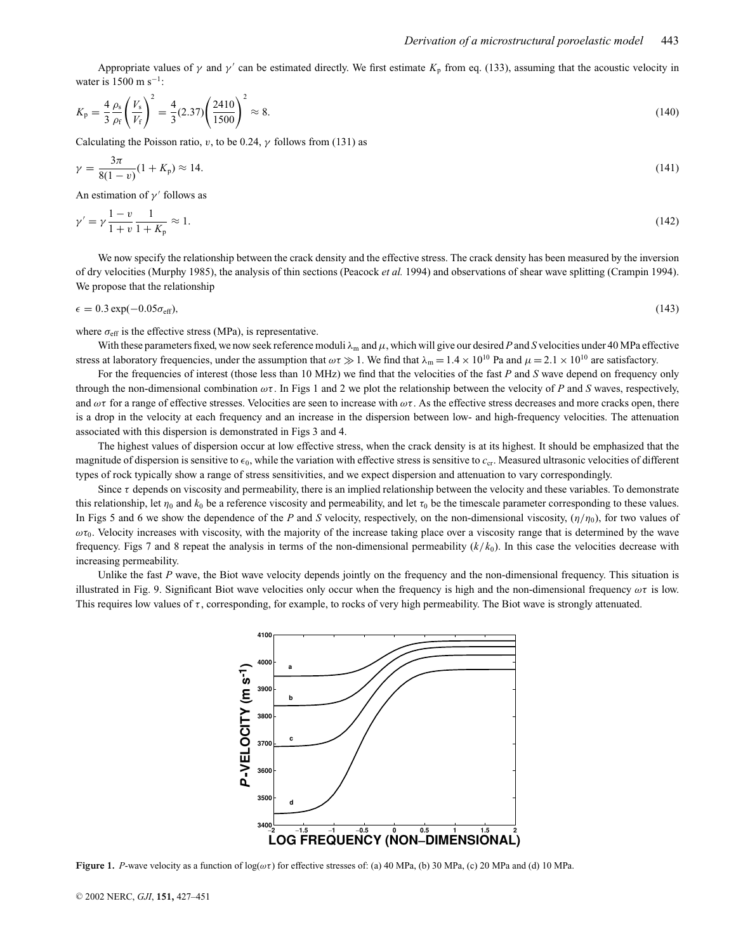Appropriate values of  $\gamma$  and  $\gamma'$  can be estimated directly. We first estimate  $K_p$  from eq. (133), assuming that the acoustic velocity in water is 1500 m s<sup> $-1$ </sup>:

$$
K_{\rm p} = \frac{4}{3} \frac{\rho_{\rm s}}{\rho_{\rm f}} \left(\frac{V_{\rm s}}{V_{\rm f}}\right)^2 = \frac{4}{3} (2.37) \left(\frac{2410}{1500}\right)^2 \approx 8. \tag{140}
$$

Calculating the Poisson ratio, v, to be 0.24,  $\gamma$  follows from (131) as

$$
\gamma = \frac{3\pi}{8(1-v)}(1+K_{\rm p}) \approx 14. \tag{141}
$$

An estimation of  $\gamma'$  follows as

$$
\gamma' = \gamma \frac{1 - v}{1 + v} \frac{1}{1 + K_p} \approx 1. \tag{142}
$$

We now specify the relationship between the crack density and the effective stress. The crack density has been measured by the inversion of dry velocities (Murphy 1985), the analysis of thin sections (Peacock *et al.* 1994) and observations of shear wave splitting (Crampin 1994). We propose that the relationship

$$
\epsilon = 0.3 \exp(-0.05\sigma_{\text{eff}}),\tag{143}
$$

where  $\sigma_{\text{eff}}$  is the effective stress (MPa), is representative.

With these parameters fixed, we now seek reference moduli  $\lambda_m$  and  $\mu$ , which will give our desired P and *S* velocities under 40 MPa effective stress at laboratory frequencies, under the assumption that  $\omega \tau \gg 1$ . We find that  $\lambda_m = 1.4 \times 10^{10}$  Pa and  $\mu = 2.1 \times 10^{10}$  are satisfactory.

For the frequencies of interest (those less than 10 MHz) we find that the velocities of the fast *P* and *S* wave depend on frequency only through the non-dimensional combination ωτ . In Figs 1 and 2 we plot the relationship between the velocity of *P* and *S* waves, respectively, and  $\omega\tau$  for a range of effective stresses. Velocities are seen to increase with  $\omega\tau$ . As the effective stress decreases and more cracks open, there is a drop in the velocity at each frequency and an increase in the dispersion between low- and high-frequency velocities. The attenuation associated with this dispersion is demonstrated in Figs 3 and 4.

The highest values of dispersion occur at low effective stress, when the crack density is at its highest. It should be emphasized that the magnitude of dispersion is sensitive to  $\epsilon_0$ , while the variation with effective stress is sensitive to  $c_{cr}$ . Measured ultrasonic velocities of different types of rock typically show a range of stress sensitivities, and we expect dispersion and attenuation to vary correspondingly.

Since  $\tau$  depends on viscosity and permeability, there is an implied relationship between the velocity and these variables. To demonstrate this relationship, let  $\eta_0$  and  $k_0$  be a reference viscosity and permeability, and let  $\tau_0$  be the timescale parameter corresponding to these values. In Figs 5 and 6 we show the dependence of the *P* and *S* velocity, respectively, on the non-dimensional viscosity,  $(\eta/\eta_0)$ , for two values of  $\omega \tau_0$ . Velocity increases with viscosity, with the majority of the increase taking place over a viscosity range that is determined by the wave frequency. Figs 7 and 8 repeat the analysis in terms of the non-dimensional permeability (*k*/*k*0). In this case the velocities decrease with increasing permeability.

Unlike the fast *P* wave, the Biot wave velocity depends jointly on the frequency and the non-dimensional frequency. This situation is illustrated in Fig. 9. Significant Biot wave velocities only occur when the frequency is high and the non-dimensional frequency  $\omega\tau$  is low. This requires low values of  $\tau$ , corresponding, for example, to rocks of very high permeability. The Biot wave is strongly attenuated.



**Figure 1.** *P*-wave velocity as a function of  $\log(\omega \tau)$  for effective stresses of: (a) 40 MPa, (b) 30 MPa, (c) 20 MPa and (d) 10 MPa.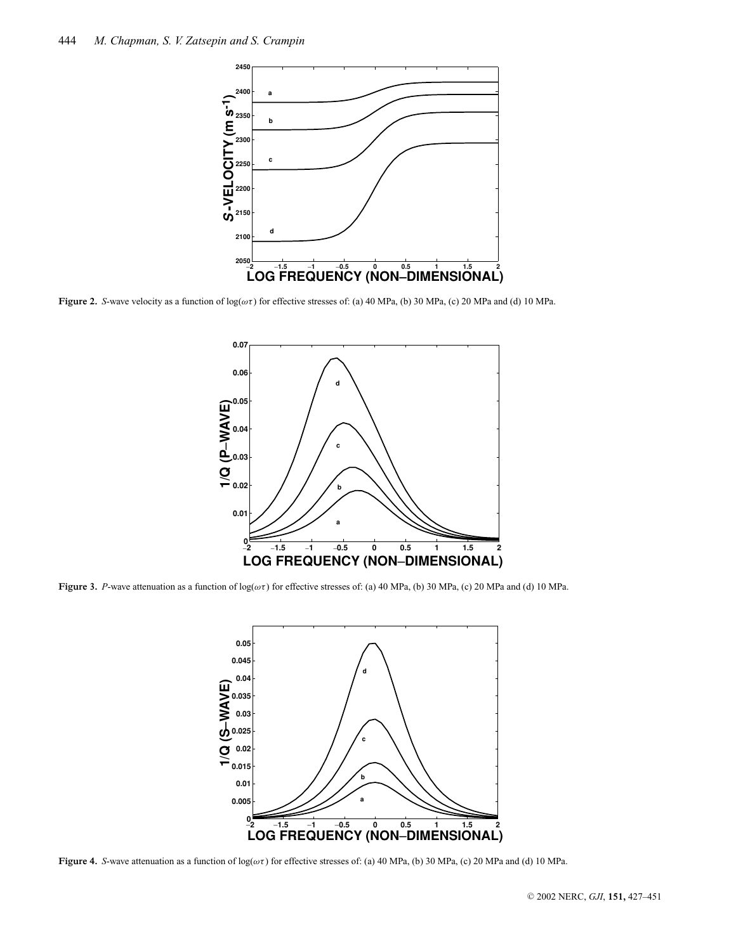

**Figure 2.** *S*-wave velocity as a function of  $log(\omega \tau)$  for effective stresses of: (a) 40 MPa, (b) 30 MPa, (c) 20 MPa and (d) 10 MPa.



**Figure 3.** *P*-wave attenuation as a function of  $log(\omega \tau)$  for effective stresses of: (a) 40 MPa, (b) 30 MPa, (c) 20 MPa and (d) 10 MPa.



**Figure 4.** *S*-wave attenuation as a function of  $log(\omega \tau)$  for effective stresses of: (a) 40 MPa, (b) 30 MPa, (c) 20 MPa and (d) 10 MPa.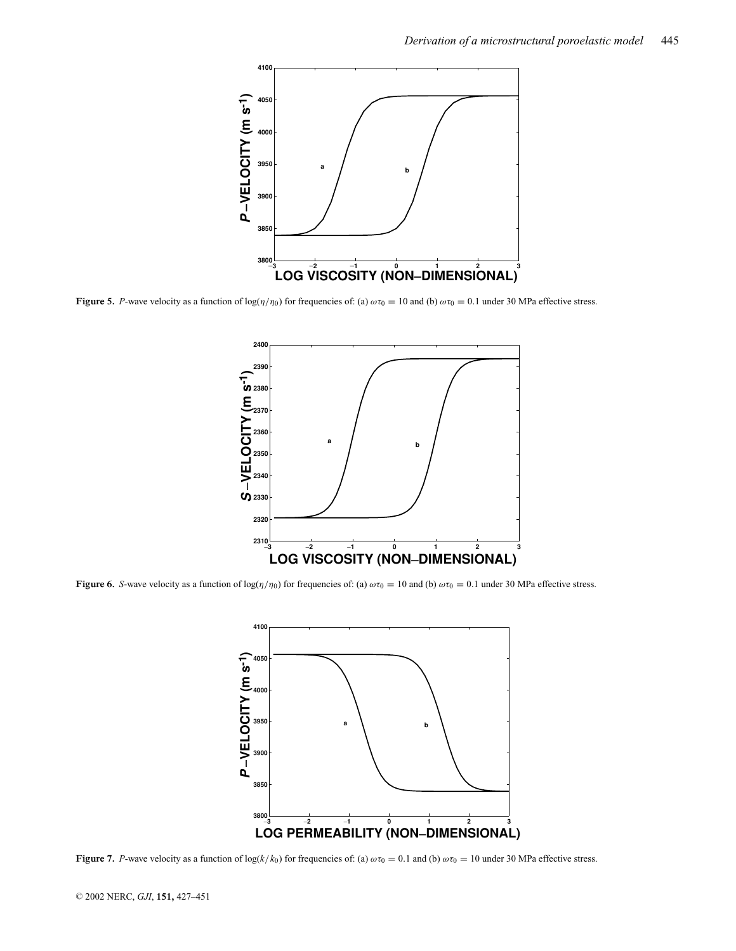

**Figure 5.** *P*-wave velocity as a function of  $\log(\eta/\eta_0)$  for frequencies of: (a)  $\omega\tau_0 = 10$  and (b)  $\omega\tau_0 = 0.1$  under 30 MPa effective stress.



**Figure 6.** *S*-wave velocity as a function of  $\log(\eta/\eta_0)$  for frequencies of: (a)  $\omega \tau_0 = 10$  and (b)  $\omega \tau_0 = 0.1$  under 30 MPa effective stress.



**Figure 7.** *P*-wave velocity as a function of  $\log(k/k_0)$  for frequencies of: (a)  $\omega \tau_0 = 0.1$  and (b)  $\omega \tau_0 = 10$  under 30 MPa effective stress.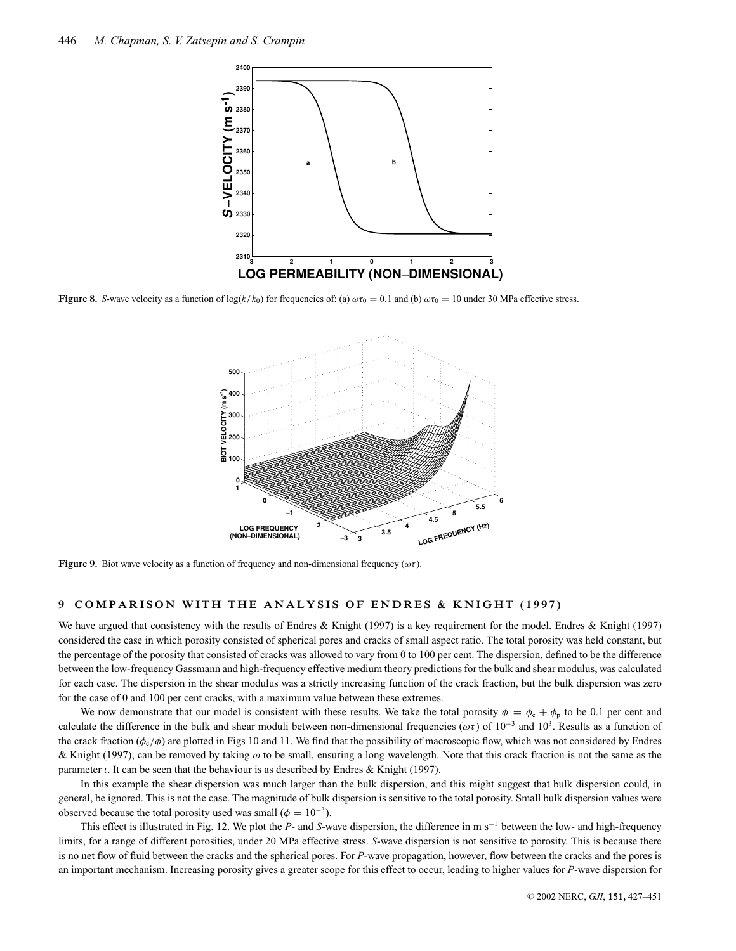

**Figure 8.** *S*-wave velocity as a function of  $\log(k/k_0)$  for frequencies of: (a)  $\omega \tau_0 = 0.1$  and (b)  $\omega \tau_0 = 10$  under 30 MPa effective stress.



**Figure 9.** Biot wave velocity as a function of frequency and non-dimensional frequency ( $\omega\tau$ ).

### **9 COMPARISON WITH THE ANALYSIS OF ENDRES & KNIGHT (1997)**

We have argued that consistency with the results of Endres & Knight (1997) is a key requirement for the model. Endres & Knight (1997) considered the case in which porosity consisted of spherical pores and cracks of small aspect ratio. The total porosity was held constant, but the percentage of the porosity that consisted of cracks was allowed to vary from 0 to 100 per cent. The dispersion, defined to be the difference between the low-frequency Gassmann and high-frequency effective medium theory predictions for the bulk and shear modulus, was calculated for each case. The dispersion in the shear modulus was a strictly increasing function of the crack fraction, but the bulk dispersion was zero for the case of 0 and 100 per cent cracks, with a maximum value between these extremes.

We now demonstrate that our model is consistent with these results. We take the total porosity  $\phi = \phi_c + \phi_p$  to be 0.1 per cent and calculate the difference in the bulk and shear moduli between non-dimensional frequencies ( $\omega\tau$ ) of 10<sup>-3</sup> and 10<sup>3</sup>. Results as a function of the crack fraction ( $\phi_c/\phi$ ) are plotted in Figs 10 and 11. We find that the possibility of macroscopic flow, which was not considered by Endres & Knight (1997), can be removed by taking  $\omega$  to be small, ensuring a long wavelength. Note that this crack fraction is not the same as the parameter  $\iota$ . It can be seen that the behaviour is as described by Endres & Knight (1997).

In this example the shear dispersion was much larger than the bulk dispersion, and this might suggest that bulk dispersion could, in general, be ignored. This is not the case. The magnitude of bulk dispersion is sensitive to the total porosity. Small bulk dispersion values were observed because the total porosity used was small ( $\phi = 10^{-3}$ ).

This effect is illustrated in Fig. 12. We plot the *P*- and *S*-wave dispersion, the difference in m s<sup>−</sup><sup>1</sup> between the low- and high-frequency limits, for a range of different porosities, under 20 MPa effective stress. *S*-wave dispersion is not sensitive to porosity. This is because there is no net flow of fluid between the cracks and the spherical pores. For *P*-wave propagation, however, flow between the cracks and the pores is an important mechanism. Increasing porosity gives a greater scope for this effect to occur, leading to higher values for *P*-wave dispersion for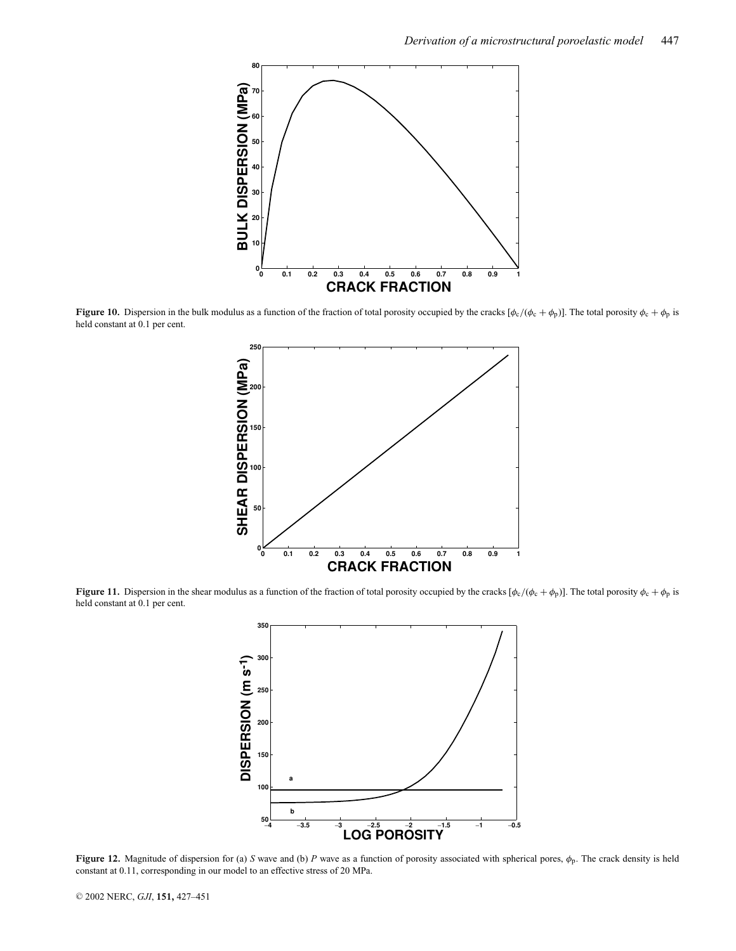

**Figure 10.** Dispersion in the bulk modulus as a function of the fraction of total porosity occupied by the cracks  $[\phi_c/(\phi_c + \phi_p)]$ . The total porosity  $\phi_c + \phi_p$  is held constant at 0.1 per cent.



**Figure 11.** Dispersion in the shear modulus as a function of the fraction of total porosity occupied by the cracks  $[\phi_c/(\phi_c + \phi_p)]$ . The total porosity  $\phi_c + \phi_p$  is held constant at 0.1 per cent.



**Figure 12.** Magnitude of dispersion for (a) *S* wave and (b) *P* wave as a function of porosity associated with spherical pores,  $\phi_p$ . The crack density is held constant at 0.11, corresponding in our model to an effective stress of 20 MPa.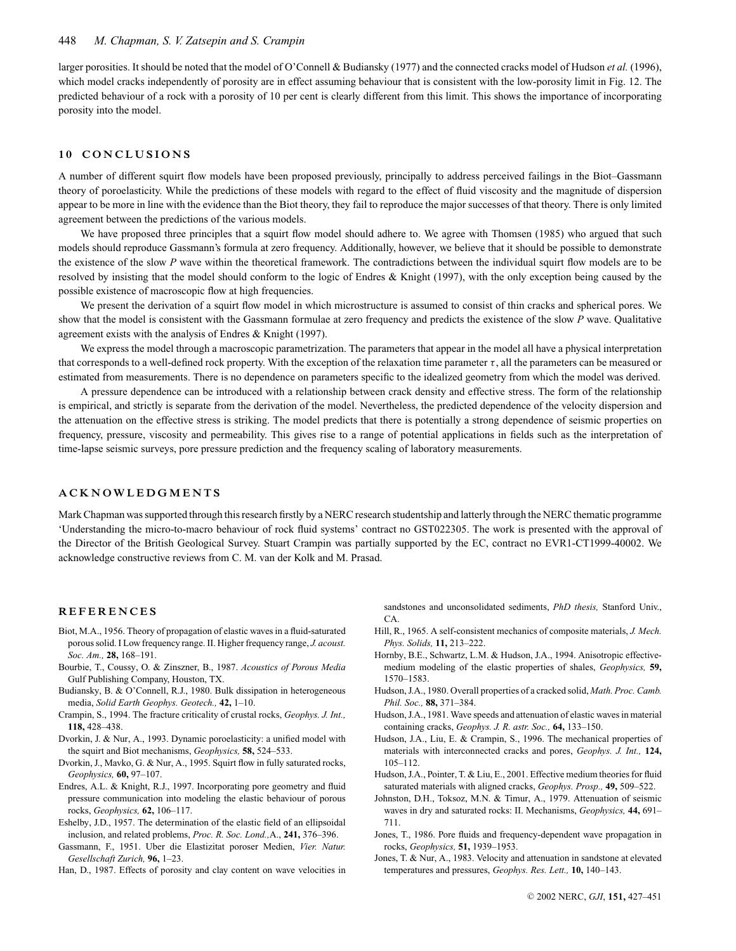larger porosities. It should be noted that the model of O'Connell & Budiansky (1977) and the connected cracks model of Hudson *et al.* (1996), which model cracks independently of porosity are in effect assuming behaviour that is consistent with the low-porosity limit in Fig. 12. The predicted behaviour of a rock with a porosity of 10 per cent is clearly different from this limit. This shows the importance of incorporating porosity into the model.

#### **10 CONCLUSIONS**

A number of different squirt flow models have been proposed previously, principally to address perceived failings in the Biot–Gassmann theory of poroelasticity. While the predictions of these models with regard to the effect of fluid viscosity and the magnitude of dispersion appear to be more in line with the evidence than the Biot theory, they fail to reproduce the major successes of that theory. There is only limited agreement between the predictions of the various models.

We have proposed three principles that a squirt flow model should adhere to. We agree with Thomsen (1985) who argued that such models should reproduce Gassmann's formula at zero frequency. Additionally, however, we believe that it should be possible to demonstrate the existence of the slow *P* wave within the theoretical framework. The contradictions between the individual squirt flow models are to be resolved by insisting that the model should conform to the logic of Endres & Knight (1997), with the only exception being caused by the possible existence of macroscopic flow at high frequencies.

We present the derivation of a squirt flow model in which microstructure is assumed to consist of thin cracks and spherical pores. We show that the model is consistent with the Gassmann formulae at zero frequency and predicts the existence of the slow *P* wave. Qualitative agreement exists with the analysis of Endres & Knight (1997).

We express the model through a macroscopic parametrization. The parameters that appear in the model all have a physical interpretation that corresponds to a well-defined rock property. With the exception of the relaxation time parameter  $\tau$ , all the parameters can be measured or estimated from measurements. There is no dependence on parameters specific to the idealized geometry from which the model was derived.

A pressure dependence can be introduced with a relationship between crack density and effective stress. The form of the relationship is empirical, and strictly is separate from the derivation of the model. Nevertheless, the predicted dependence of the velocity dispersion and the attenuation on the effective stress is striking. The model predicts that there is potentially a strong dependence of seismic properties on frequency, pressure, viscosity and permeability. This gives rise to a range of potential applications in fields such as the interpretation of time-lapse seismic surveys, pore pressure prediction and the frequency scaling of laboratory measurements.

#### **ACKNOWLEDGMENTS**

Mark Chapman was supported through this research firstly by a NERC research studentship and latterly through the NERC thematic programme 'Understanding the micro-to-macro behaviour of rock fluid systems' contract no GST022305. The work is presented with the approval of the Director of the British Geological Survey. Stuart Crampin was partially supported by the EC, contract no EVR1-CT1999-40002. We acknowledge constructive reviews from C. M. van der Kolk and M. Prasad.

#### **REFERENCES**

- Biot, M.A., 1956. Theory of propagation of elastic waves in a fluid-saturated porous solid. I Low frequency range. II. Higher frequency range, *J. acoust. Soc. Am.,* **28,** 168–191.
- Bourbie, T., Coussy, O. & Zinszner, B., 1987. *Acoustics of Porous Media* Gulf Publishing Company, Houston, TX.
- Budiansky, B. & O'Connell, R.J., 1980. Bulk dissipation in heterogeneous media, *Solid Earth Geophys. Geotech.,* **42,** 1–10.
- Crampin, S., 1994. The fracture criticality of crustal rocks, *Geophys. J. Int.,* **118,** 428–438.
- Dvorkin, J. & Nur, A., 1993. Dynamic poroelasticity: a unified model with the squirt and Biot mechanisms, *Geophysics,* **58,** 524–533.
- Dvorkin, J., Mavko, G. & Nur, A., 1995. Squirt flow in fully saturated rocks, *Geophysics,* **60,** 97–107.
- Endres, A.L. & Knight, R.J., 1997. Incorporating pore geometry and fluid pressure communication into modeling the elastic behaviour of porous rocks, *Geophysics,* **62,** 106–117.
- Eshelby, J.D., 1957. The determination of the elastic field of an ellipsoidal inclusion, and related problems, *Proc. R. Soc. Lond.,*A., **241,** 376–396.
- Gassmann, F., 1951. Uber die Elastizitat poroser Medien, *Vier. Natur. Gesellschaft Zurich,* **96,** 1–23.
- Han, D., 1987. Effects of porosity and clay content on wave velocities in

sandstones and unconsolidated sediments, *PhD thesis,* Stanford Univ., CA.

- Hill, R., 1965. A self-consistent mechanics of composite materials, *J. Mech. Phys. Solids,* **11,** 213–222.
- Hornby, B.E., Schwartz, L.M. & Hudson, J.A., 1994. Anisotropic effectivemedium modeling of the elastic properties of shales, *Geophysics,* **59,** 1570–1583.
- Hudson, J.A., 1980. Overall properties of a cracked solid, *Math. Proc. Camb. Phil. Soc.,* **88,** 371–384.
- Hudson, J.A., 1981. Wave speeds and attenuation of elastic waves in material containing cracks, *Geophys. J. R. astr. Soc.,* **64,** 133–150.
- Hudson, J.A., Liu, E. & Crampin, S., 1996. The mechanical properties of materials with interconnected cracks and pores, *Geophys. J. Int.,* **124,** 105–112.
- Hudson, J.A., Pointer, T. & Liu, E., 2001. Effective medium theories for fluid saturated materials with aligned cracks, *Geophys. Prosp.,* **49,** 509–522.
- Johnston, D.H., Toksoz, M.N. & Timur, A., 1979. Attenuation of seismic waves in dry and saturated rocks: II. Mechanisms, *Geophysics,* **44,** 691– 711.
- Jones, T., 1986. Pore fluids and frequency-dependent wave propagation in rocks, *Geophysics,* **51,** 1939–1953.
- Jones, T. & Nur, A., 1983. Velocity and attenuation in sandstone at elevated temperatures and pressures, *Geophys. Res. Lett.,* **10,** 140–143.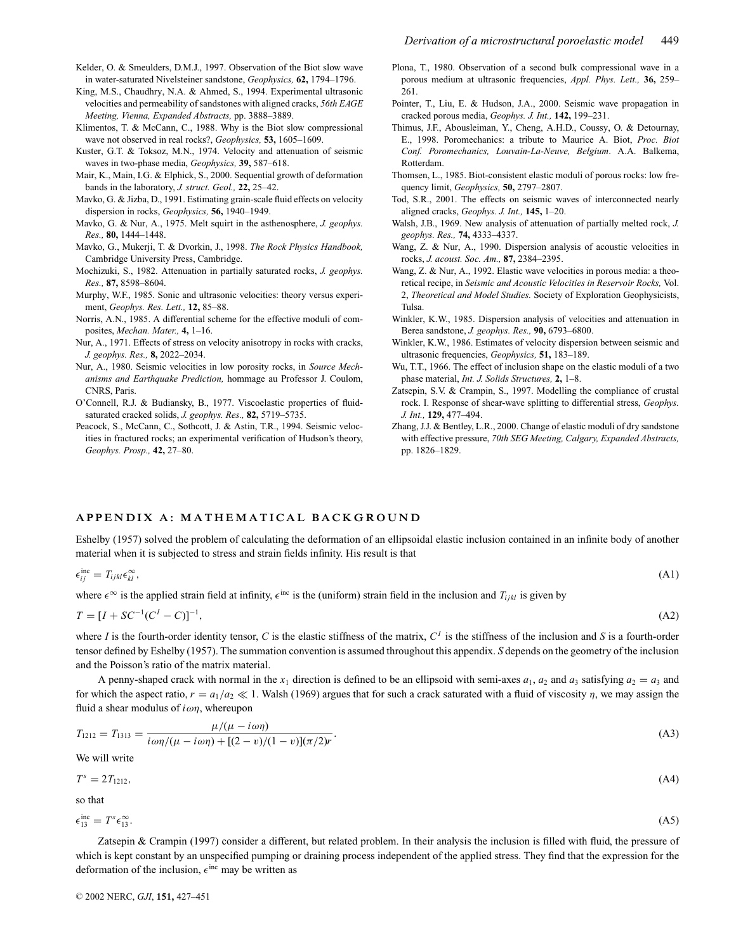- Kelder, O. & Smeulders, D.M.J., 1997. Observation of the Biot slow wave in water-saturated Nivelsteiner sandstone, *Geophysics,* **62,** 1794–1796.
- King, M.S., Chaudhry, N.A. & Ahmed, S., 1994. Experimental ultrasonic velocities and permeability of sandstones with aligned cracks, *56th EAGE Meeting, Vienna, Expanded Abstracts,* pp. 3888–3889.
- Klimentos, T. & McCann, C., 1988. Why is the Biot slow compressional wave not observed in real rocks?, *Geophysics,* **53,** 1605–1609.
- Kuster, G.T. & Toksoz, M.N., 1974. Velocity and attenuation of seismic waves in two-phase media, *Geophysics,* **39,** 587–618.
- Mair, K., Main, I.G. & Elphick, S., 2000. Sequential growth of deformation bands in the laboratory, *J. struct. Geol.,* **22,** 25–42.
- Mavko, G. & Jizba, D., 1991. Estimating grain-scale fluid effects on velocity dispersion in rocks, *Geophysics,* **56,** 1940–1949.
- Mavko, G. & Nur, A., 1975. Melt squirt in the asthenosphere, *J. geophys. Res.,* **80,** 1444–1448.
- Mavko, G., Mukerji, T. & Dvorkin, J., 1998. *The Rock Physics Handbook,* Cambridge University Press, Cambridge.
- Mochizuki, S., 1982. Attenuation in partially saturated rocks, *J. geophys. Res.,* **87,** 8598–8604.
- Murphy, W.F., 1985. Sonic and ultrasonic velocities: theory versus experiment, *Geophys. Res. Lett.,* **12,** 85–88.
- Norris, A.N., 1985. A differential scheme for the effective moduli of composites, *Mechan. Mater.,* **4,** 1–16.
- Nur, A., 1971. Effects of stress on velocity anisotropy in rocks with cracks, *J. geophys. Res.,* **8,** 2022–2034.
- Nur, A., 1980. Seismic velocities in low porosity rocks, in *Source Mechanisms and Earthquake Prediction,* hommage au Professor J. Coulom, CNRS, Paris.
- O'Connell, R.J. & Budiansky, B., 1977. Viscoelastic properties of fluidsaturated cracked solids, *J. geophys. Res.,* **82,** 5719–5735.
- Peacock, S., McCann, C., Sothcott, J. & Astin, T.R., 1994. Seismic velocities in fractured rocks; an experimental verification of Hudson's theory, *Geophys. Prosp.,* **42,** 27–80.
- Plona, T., 1980. Observation of a second bulk compressional wave in a porous medium at ultrasonic frequencies, *Appl. Phys. Lett.,* **36,** 259– 261.
- Pointer, T., Liu, E. & Hudson, J.A., 2000. Seismic wave propagation in cracked porous media, *Geophys. J. Int.,* **142,** 199–231.
- Thimus, J.F., Abousleiman, Y., Cheng, A.H.D., Coussy, O. & Detournay, E., 1998. Poromechanics: a tribute to Maurice A. Biot, *Proc. Biot Conf. Poromechanics, Louvain-La-Neuve, Belgium*. A.A. Balkema, Rotterdam.
- Thomsen, L., 1985. Biot-consistent elastic moduli of porous rocks: low frequency limit, *Geophysics,* **50,** 2797–2807.
- Tod, S.R., 2001. The effects on seismic waves of interconnected nearly aligned cracks, *Geophys. J. Int.,* **145,** 1–20.
- Walsh, J.B., 1969. New analysis of attenuation of partially melted rock, *J. geophys. Res.,* **74,** 4333–4337.
- Wang, Z. & Nur, A., 1990. Dispersion analysis of acoustic velocities in rocks, *J. acoust. Soc. Am.,* **87,** 2384–2395.
- Wang, Z. & Nur, A., 1992. Elastic wave velocities in porous media: a theoretical recipe, in *Seismic and Acoustic Velocities in Reservoir Rocks,* Vol. 2, *Theoretical and Model Studies.* Society of Exploration Geophysicists, Tulsa.
- Winkler, K.W., 1985. Dispersion analysis of velocities and attenuation in Berea sandstone, *J. geophys. Res.,* **90,** 6793–6800.
- Winkler, K.W., 1986. Estimates of velocity dispersion between seismic and ultrasonic frequencies, *Geophysics,* **51,** 183–189.
- Wu, T.T., 1966. The effect of inclusion shape on the elastic moduli of a two phase material, *Int. J. Solids Structures,* **2,** 1–8.
- Zatsepin, S.V. & Crampin, S., 1997. Modelling the compliance of crustal rock. I. Response of shear-wave splitting to differential stress, *Geophys. J. Int.,* **129,** 477–494.
- Zhang, J.J. & Bentley, L.R., 2000. Change of elastic moduli of dry sandstone with effective pressure, *70th SEG Meeting, Calgary, Expanded Abstracts,* pp. 1826–1829.

## **APPENDIX A: MATHEMATICAL BACKGROUND**

Eshelby (1957) solved the problem of calculating the deformation of an ellipsoidal elastic inclusion contained in an infinite body of another material when it is subjected to stress and strain fields infinity. His result is that

$$
\epsilon_{ij}^{\text{inc}} = T_{ijkl}\epsilon_{kl}^{\infty},\tag{A1}
$$

where  $\epsilon^{\infty}$  is the applied strain field at infinity,  $\epsilon^{\text{inc}}$  is the (uniform) strain field in the inclusion and  $T_{ijkl}$  is given by

$$
T = [I + SC^{-1}(C^{I} - C)]^{-1},
$$
\n(A2)

where *I* is the fourth-order identity tensor, *C* is the elastic stiffness of the matrix,  $C<sup>I</sup>$  is the stiffness of the inclusion and *S* is a fourth-order tensor defined by Eshelby (1957). The summation convention is assumed throughout this appendix. *S* depends on the geometry of the inclusion and the Poisson's ratio of the matrix material.

A penny-shaped crack with normal in the  $x_1$  direction is defined to be an ellipsoid with semi-axes  $a_1$ ,  $a_2$  and  $a_3$  satisfying  $a_2 = a_3$  and for which the aspect ratio,  $r = a_1/a_2 \ll 1$ . Walsh (1969) argues that for such a crack saturated with a fluid of viscosity  $\eta$ , we may assign the fluid a shear modulus of *i*ωη, whereupon

$$
T_{1212} = T_{1313} = \frac{\mu/(\mu - i\omega\eta)}{i\omega\eta/(\mu - i\omega\eta) + [(2 - v)/(1 - v)](\pi/2)r}.
$$
\n(A3)

We will write

$$
T^s = 2T_{1212},\tag{A4}
$$

so that

$$
\epsilon_{13}^{\text{inc}} = T^s \epsilon_{13}^{\infty}.\tag{A5}
$$

Zatsepin & Crampin (1997) consider a different, but related problem. In their analysis the inclusion is filled with fluid, the pressure of which is kept constant by an unspecified pumping or draining process independent of the applied stress. They find that the expression for the deformation of the inclusion,  $\epsilon^{inc}$  may be written as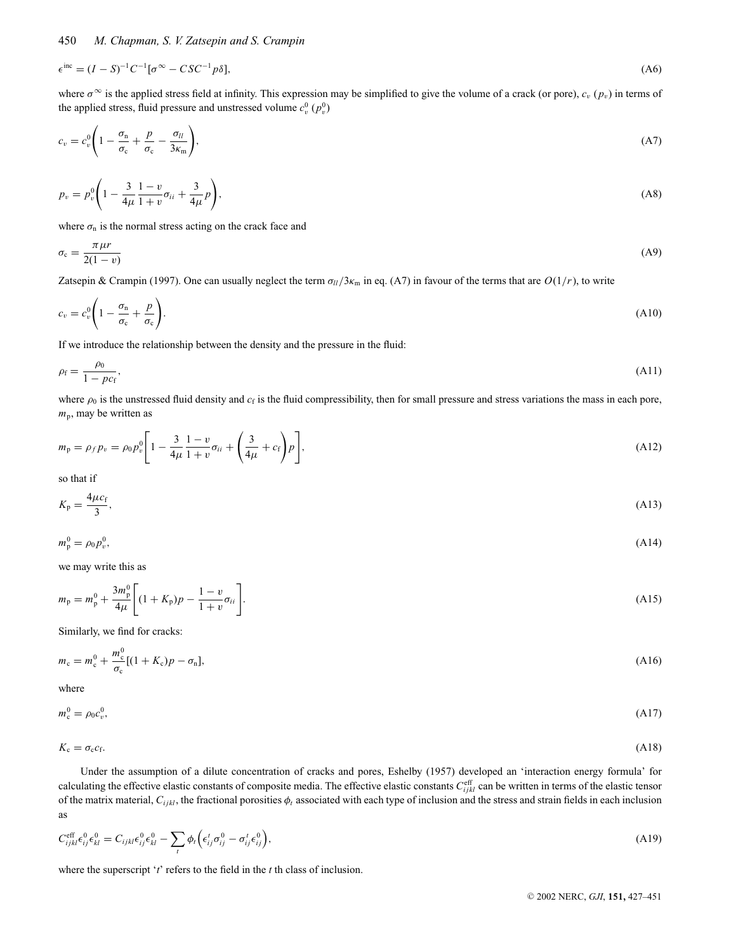$$
\epsilon^{\text{inc}} = (I - S)^{-1} C^{-1} [\sigma^{\infty} - C S C^{-1} p \delta], \tag{A6}
$$

where  $\sigma^{\infty}$  is the applied stress field at infinity. This expression may be simplified to give the volume of a crack (or pore),  $c_v$  ( $p_v$ ) in terms of the applied stress, fluid pressure and unstressed volume  $c_v^0$  ( $p_v^0$ )

$$
c_v = c_v^0 \left( 1 - \frac{\sigma_{\rm n}}{\sigma_{\rm c}} + \frac{p}{\sigma_{\rm c}} - \frac{\sigma_{ll}}{3\kappa_{\rm m}} \right),\tag{A7}
$$

$$
p_v = p_v^0 \left( 1 - \frac{3}{4\mu} \frac{1 - v}{1 + v} \sigma_{ii} + \frac{3}{4\mu} p \right),\tag{A8}
$$

where  $\sigma_n$  is the normal stress acting on the crack face and

$$
\sigma_{\rm c} = \frac{\pi \mu r}{2(1 - v)} \tag{A9}
$$

Zatsepin & Crampin (1997). One can usually neglect the term  $\sigma_{ll}/3\kappa_m$  in eq. (A7) in favour of the terms that are  $O(1/r)$ , to write

$$
c_v = c_v^0 \left( 1 - \frac{\sigma_\text{n}}{\sigma_\text{c}} + \frac{p}{\sigma_\text{c}} \right). \tag{A10}
$$

If we introduce the relationship between the density and the pressure in the fluid:

$$
\rho_{\rm f} = \frac{\rho_0}{1 - pc_{\rm f}},\tag{A11}
$$

where  $\rho_0$  is the unstressed fluid density and  $c_f$  is the fluid compressibility, then for small pressure and stress variations the mass in each pore, *m*p, may be written as

$$
m_{\rm p} = \rho_f p_{\rm v} = \rho_0 p_{\rm v}^0 \left[ 1 - \frac{3}{4\mu} \frac{1 - \nu}{1 + \nu} \sigma_{ii} + \left( \frac{3}{4\mu} + c_{\rm f} \right) p \right],\tag{A12}
$$

so that if

$$
K_{\rm p} = \frac{4\mu c_{\rm f}}{3},\tag{A13}
$$

$$
m_p^0 = \rho_0 p_v^0, \tag{A14}
$$

we may write this as

$$
m_{\rm p} = m_{\rm p}^0 + \frac{3m_{\rm p}^0}{4\mu} \left[ (1 + K_{\rm p})p - \frac{1 - v}{1 + v} \sigma_{ii} \right].
$$
 (A15)

Similarly, we find for cracks:

$$
m_{\rm c} = m_{\rm c}^0 + \frac{m_{\rm c}^0}{\sigma_{\rm c}} [(1 + K_{\rm c})p - \sigma_{\rm n}],\tag{A16}
$$

where

$$
m_c^0 = \rho_0 c_v^0, \tag{A17}
$$

$$
K_{\rm c} = \sigma_{\rm c} c_{\rm f}. \tag{A18}
$$

Under the assumption of a dilute concentration of cracks and pores, Eshelby (1957) developed an 'interaction energy formula' for calculating the effective elastic constants of composite media. The effective elastic constants *C*eff *ijkl* can be written in terms of the elastic tensor of the matrix material,  $C_{ijkl}$ , the fractional porosities  $\phi_t$  associated with each type of inclusion and the stress and strain fields in each inclusion as

$$
C_{ijkl}^{\text{eff}} \epsilon_{ij}^0 \epsilon_{kl}^0 = C_{ijkl} \epsilon_{ij}^0 \epsilon_{kl}^0 - \sum_i \phi_i \Big( \epsilon_{ij}^t \sigma_{ij}^0 - \sigma_{ij}^t \epsilon_{ij}^0 \Big), \tag{A19}
$$

where the superscript '*t*' refers to the field in the *t* th class of inclusion.